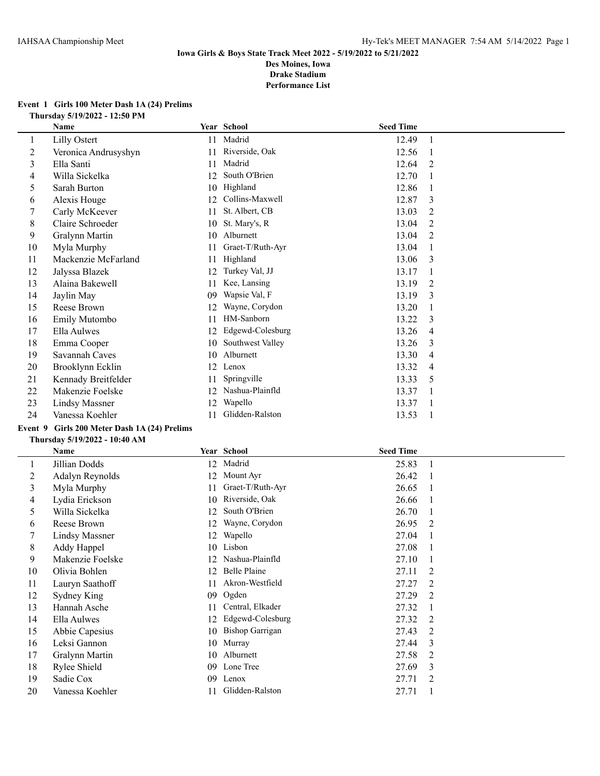#### **Event 1 Girls 100 Meter Dash 1A (24) Prelims Thursday 5/19/2022 - 12:50 PM**

| Name                  |    |                  |                                   |                  |
|-----------------------|----|------------------|-----------------------------------|------------------|
| Lilly Ostert          | 11 |                  | 12.49                             | -1               |
| Veronica Andrusyshyn  | 11 | Riverside, Oak   | 12.56                             |                  |
| Ella Santi            | 11 | Madrid           | 12.64                             | 2                |
| Willa Sickelka        | 12 | South O'Brien    | 12.70                             |                  |
| Sarah Burton          | 10 |                  | 12.86                             |                  |
| Alexis Houge          | 12 | Collins-Maxwell  | 12.87                             | 3                |
| Carly McKeever        | 11 | St. Albert, CB   | 13.03                             | 2                |
| Claire Schroeder      | 10 | St. Mary's, R    | 13.04                             | 2                |
| Gralynn Martin        | 10 | Alburnett        | 13.04                             | 2                |
| Myla Murphy           | 11 | Graet-T/Ruth-Ayr | 13.04                             |                  |
| Mackenzie McFarland   | 11 | Highland         | 13.06                             | 3                |
| Jalyssa Blazek        | 12 | Turkey Val, JJ   | 13.17                             |                  |
| Alaina Bakewell       | 11 | Kee, Lansing     | 13.19                             | 2                |
| Jaylin May            | 09 | Wapsie Val, F    | 13.19                             | 3                |
| Reese Brown           | 12 | Wayne, Corydon   | 13.20                             |                  |
| Emily Mutombo         | 11 | HM-Sanborn       | 13.22                             | 3                |
| Ella Aulwes           | 12 | Edgewd-Colesburg | 13.26                             | 4                |
| Emma Cooper           | 10 | Southwest Valley | 13.26                             | 3                |
| Savannah Caves        | 10 | Alburnett        | 13.30                             | 4                |
| Brooklynn Ecklin      | 12 | Lenox            | 13.32                             | 4                |
| Kennady Breitfelder   | 11 | Springville      | 13.33                             | 5                |
| Makenzie Foelske      | 12 | Nashua-Plainfld  | 13.37                             |                  |
| <b>Lindsy Massner</b> | 12 | Wapello          | 13.37                             |                  |
| Vanessa Koehler       | 11 | Glidden-Ralston  | 13.53                             |                  |
|                       |    |                  | Year School<br>Madrid<br>Highland | <b>Seed Time</b> |

# **Event 9 Girls 200 Meter Dash 1A (24) Prelims**

|    | Name                  |    | Year School            | <b>Seed Time</b> |                |
|----|-----------------------|----|------------------------|------------------|----------------|
|    | Jillian Dodds         | 12 | Madrid                 | 25.83            |                |
| 2  | Adalyn Reynolds       | 12 | Mount Ayr              | 26.42            |                |
| 3  | Myla Murphy           | 11 | Graet-T/Ruth-Ayr       | 26.65            |                |
| 4  | Lydia Erickson        | 10 | Riverside, Oak         | 26.66            |                |
| 5  | Willa Sickelka        | 12 | South O'Brien          | 26.70            |                |
| 6  | Reese Brown           | 12 | Wayne, Corydon         | 26.95            | 2              |
| 7  | <b>Lindsy Massner</b> | 12 | Wapello                | 27.04            |                |
| 8  | Addy Happel           | 10 | Lisbon                 | 27.08            |                |
| 9  | Makenzie Foelske      | 12 | Nashua-Plainfld        | 27.10            |                |
| 10 | Olivia Bohlen         | 12 | Belle Plaine           | 27.11            | 2              |
| 11 | Lauryn Saathoff       | 11 | Akron-Westfield        | 27.27            | 2              |
| 12 | Sydney King           | 09 | Ogden                  | 27.29            | $\overline{2}$ |
| 13 | Hannah Asche          | 11 | Central, Elkader       | 27.32            |                |
| 14 | Ella Aulwes           | 12 | Edgewd-Colesburg       | 27.32            | 2              |
| 15 | Abbie Capesius        | 10 | <b>Bishop Garrigan</b> | 27.43            | 2              |
| 16 | Leksi Gannon          | 10 | Murray                 | 27.44            | 3              |
| 17 | Gralynn Martin        | 10 | Alburnett              | 27.58            | $\overline{2}$ |
| 18 | Rylee Shield          | 09 | Lone Tree              | 27.69            | 3              |
| 19 | Sadie Cox             | 09 | Lenox                  | 27.71            | 2              |
| 20 | Vanessa Koehler       | 11 | Glidden-Ralston        | 27.71            |                |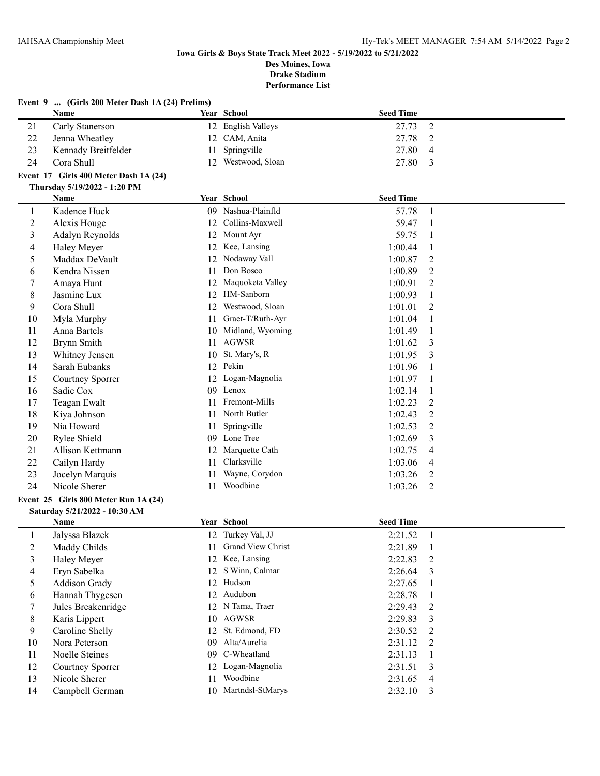|                          | Event 9  (Girls 200 Meter Dash 1A (24) Prelims) |    |                      |                  |                |
|--------------------------|-------------------------------------------------|----|----------------------|------------------|----------------|
|                          | Name                                            |    | Year School          | <b>Seed Time</b> |                |
| 21                       | Carly Stanerson                                 |    | 12 English Valleys   | 27.73            | $\overline{2}$ |
| 22                       | Jenna Wheatley                                  |    | 12 CAM, Anita        | 27.78            | $\overline{2}$ |
| 23                       | Kennady Breitfelder                             | 11 | Springville          | 27.80            | $\overline{4}$ |
| 24                       | Cora Shull                                      | 12 | Westwood, Sloan      | 27.80            | 3              |
|                          | Event 17 Girls 400 Meter Dash 1A (24)           |    |                      |                  |                |
|                          | Thursday 5/19/2022 - 1:20 PM                    |    |                      |                  |                |
|                          | Name                                            |    | Year School          | <b>Seed Time</b> |                |
| $\mathbf{1}$             | Kadence Huck                                    |    | 09 Nashua-Plainfld   | 57.78            | $\mathbf{1}$   |
| $\overline{c}$           | Alexis Houge                                    |    | 12 Collins-Maxwell   | 59.47            | 1              |
| 3                        | Adalyn Reynolds                                 |    | 12 Mount Ayr         | 59.75            | $\mathbf{1}$   |
| $\overline{\mathcal{L}}$ | Haley Meyer                                     |    | 12 Kee, Lansing      | 1:00.44          | $\mathbf{1}$   |
| 5                        | Maddax DeVault                                  |    | 12 Nodaway Vall      | 1:00.87          | $\overline{2}$ |
| 6                        | Kendra Nissen                                   | 11 | Don Bosco            | 1:00.89          | 2              |
| 7                        | Amaya Hunt                                      | 12 | Maquoketa Valley     | 1:00.91          | $\overline{2}$ |
| 8                        | Jasmine Lux                                     |    | 12 HM-Sanborn        | 1:00.93          | $\mathbf{1}$   |
| 9                        | Cora Shull                                      |    | 12 Westwood, Sloan   | 1:01.01          | 2              |
| 10                       | Myla Murphy                                     |    | 11 Graet-T/Ruth-Ayr  | 1:01.04          | 1              |
| 11                       | Anna Bartels                                    |    | 10 Midland, Wyoming  | 1:01.49          | $\mathbf{1}$   |
| 12                       | Brynn Smith                                     |    | 11 AGWSR             | 1:01.62          | 3              |
| 13                       | Whitney Jensen                                  |    | 10 St. Mary's, R     | 1:01.95          | 3              |
| 14                       | Sarah Eubanks                                   |    | 12 Pekin             | 1:01.96          | 1              |
| 15                       | Courtney Sporrer                                | 12 | Logan-Magnolia       | 1:01.97          | $\mathbf{1}$   |
| 16                       | Sadie Cox                                       |    | 09 Lenox             | 1:02.14          | $\mathbf{1}$   |
| 17                       | Teagan Ewalt                                    |    | 11 Fremont-Mills     | 1:02.23          | 2              |
| 18                       | Kiya Johnson                                    |    | 11 North Butler      | 1:02.43          | $\overline{2}$ |
| 19                       | Nia Howard                                      |    | 11 Springville       | 1:02.53          | $\overline{2}$ |
| 20                       | Rylee Shield                                    |    | 09 Lone Tree         | 1:02.69          | 3              |
| 21                       | Allison Kettmann                                |    | 12 Marquette Cath    | 1:02.75          | 4              |
| 22                       | Cailyn Hardy                                    | 11 | Clarksville          | 1:03.06          | $\overline{4}$ |
| 23                       | Jocelyn Marquis                                 | 11 | Wayne, Corydon       | 1:03.26          | $\overline{2}$ |
| 24                       | Nicole Sherer                                   |    | 11 Woodbine          | 1:03.26          | 2              |
|                          | Event 25 Girls 800 Meter Run 1A (24)            |    |                      |                  |                |
|                          | Saturday 5/21/2022 - 10:30 AM                   |    |                      |                  |                |
|                          | Name                                            |    | Year School          | <b>Seed Time</b> |                |
| 1                        | Jalyssa Blazek                                  |    | 12 Turkey Val, JJ    | 2:21.52          | -1             |
| $\overline{c}$           | Maddy Childs                                    |    | 11 Grand View Christ | 2:21.89          | $\mathbf{1}$   |
| 3                        | Haley Meyer                                     | 12 | Kee, Lansing         | 2:22.83          | 2              |
| 4                        | Eryn Sabelka                                    | 12 | S Winn, Calmar       | 2:26.64          | 3              |
| 5                        | Addison Grady                                   |    | 12 Hudson            | 2:27.65          | 1              |
| 6                        | Hannah Thygesen                                 |    | 12 Audubon           | 2:28.78          | $\mathbf{1}$   |
| $\tau$                   | Jules Breakenridge                              |    | 12 N Tama, Traer     | 2:29.43          | $\overline{2}$ |

 Karis Lippert 10 AGWSR 2:29.83 3 Caroline Shelly 12 St. Edmond, FD 2:30.52 2 Nora Peterson 09 Alta/Aurelia 2:31.12 2 Noelle Steines 09 C-Wheatland 2:31.13 1 Courtney Sporrer 12 Logan-Magnolia 2:31.51 3 13 Nicole Sherer 11 Woodbine 2:31.65 4 Campbell German 10 Martndsl-StMarys 2:32.10 3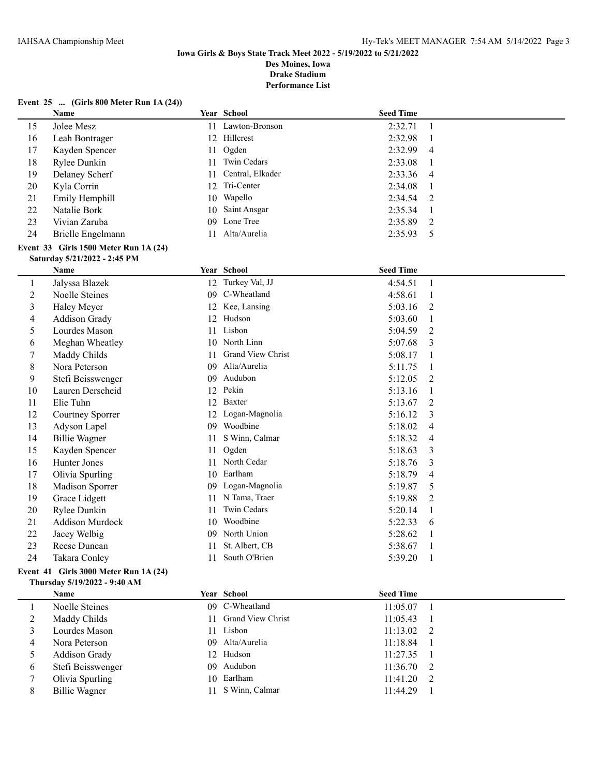#### **Event 25 ... (Girls 800 Meter Run 1A (24))**

|                | <b>Name</b>                           |    | <b>Year School</b> | <b>Seed Time</b> |                |
|----------------|---------------------------------------|----|--------------------|------------------|----------------|
| 15             | Jolee Mesz                            | 11 | Lawton-Bronson     | 2:32.71          | $\mathbf{1}$   |
| 16             | Leah Bontrager                        |    | 12 Hillcrest       | 2:32.98          | $\mathbf{1}$   |
| 17             | Kayden Spencer                        | 11 | Ogden              | 2:32.99          | 4              |
| 18             | Rylee Dunkin                          | 11 | Twin Cedars        | 2:33.08          | 1              |
| 19             | Delaney Scherf                        | 11 | Central, Elkader   | 2:33.36          | 4              |
| 20             | Kyla Corrin                           |    | 12 Tri-Center      | 2:34.08          | $\mathbf{1}$   |
| 21             | Emily Hemphill                        | 10 | Wapello            | 2:34.54          | 2              |
| 22             | Natalie Bork                          | 10 | Saint Ansgar       | 2:35.34          | 1              |
| 23             | Vivian Zaruba                         | 09 | Lone Tree          | 2:35.89          | 2              |
| 24             | Brielle Engelmann                     | 11 | Alta/Aurelia       | 2:35.93          | 5              |
|                | Event 33 Girls 1500 Meter Run 1A (24) |    |                    |                  |                |
|                | Saturday 5/21/2022 - 2:45 PM          |    |                    |                  |                |
|                | Name                                  |    | Year School        | <b>Seed Time</b> |                |
| $\mathbf{1}$   | Jalyssa Blazek                        |    | 12 Turkey Val, JJ  | 4:54.51          | $\mathbf{1}$   |
| $\overline{2}$ | Noelle Steines                        | 09 | C-Wheatland        | 4:58.61          | 1              |
| 3              | Haley Meyer                           |    | 12 Kee, Lansing    | 5:03.16          | 2              |
| $\overline{4}$ | <b>Addison Grady</b>                  |    | 12 Hudson          | 5:03.60          | 1              |
| 5              | Lourdes Mason                         |    | 11 Lisbon          | 5:04.59          | 2              |
| 6              | Meghan Wheatley                       |    | 10 North Linn      | 5:07.68          | 3              |
| $\tau$         | Maddy Childs                          | 11 | Grand View Christ  | 5:08.17          | 1              |
| $\,$ 8 $\,$    | Nora Peterson                         | 09 | Alta/Aurelia       | 5:11.75          | 1              |
| 9              | Stefi Beisswenger                     | 09 | Audubon            | 5:12.05          | 2              |
| 10             | Lauren Derscheid                      | 12 | Pekin              | 5:13.16          | 1              |
| 11             | Elie Tuhn                             | 12 | Baxter             | 5:13.67          | 2              |
| 12             | Courtney Sporrer                      |    | 12 Logan-Magnolia  | 5:16.12          | 3              |
| 13             | Adyson Lapel                          |    | 09 Woodbine        | 5:18.02          | 4              |
| 14             | <b>Billie Wagner</b>                  | 11 | S Winn, Calmar     | 5:18.32          | 4              |
| 15             | Kayden Spencer                        | 11 | Ogden              | 5:18.63          | 3              |
| 16             | Hunter Jones                          | 11 | North Cedar        | 5:18.76          | 3              |
| 17             | Olivia Spurling                       |    | 10 Earlham         | 5:18.79          | 4              |
| 18             | Madison Sporrer                       | 09 | Logan-Magnolia     | 5:19.87          | 5              |
| 19             | Grace Lidgett                         | 11 | N Tama, Traer      | 5:19.88          | $\overline{2}$ |
| 20             | Rylee Dunkin                          | 11 | Twin Cedars        | 5:20.14          | 1              |
| 21             | <b>Addison Murdock</b>                | 10 | Woodbine           | 5:22.33          | 6              |
| 22             | Jacey Welbig                          |    | 09 North Union     | 5:28.62          | $\mathbf{1}$   |
| 23             | Reese Duncan                          | 11 | St. Albert, CB     | 5:38.67          | 1              |
| 24             | Takara Conley                         | 11 | South O'Brien      | 5:39.20          | $\mathbf{1}$   |

#### **Event 41 Girls 3000 Meter Run 1A (24) Thursday 5/19/2022 - 9:40 AM**

|   | <b>Name</b>       |    | Year School          | <b>Seed Time</b> |  |
|---|-------------------|----|----------------------|------------------|--|
|   | Noelle Steines    |    | 09 C-Wheatland       | 11:05.07         |  |
|   | Maddy Childs      |    | 11 Grand View Christ | 11:05.43         |  |
|   | Lourdes Mason     | 11 | Lisbon               | $11:13.02$ 2     |  |
| 4 | Nora Peterson     |    | 09 Alta/Aurelia      | 11:18.84         |  |
|   | Addison Grady     |    | 12 Hudson            | 11:27.35         |  |
| 6 | Stefi Beisswenger |    | 09 Audubon           | $11:36.70$ 2     |  |
|   | Olivia Spurling   |    | 10 Earlham           | $11:41.20$ 2     |  |
| 8 | Billie Wagner     | 11 | S Winn, Calmar       | 11:44.29         |  |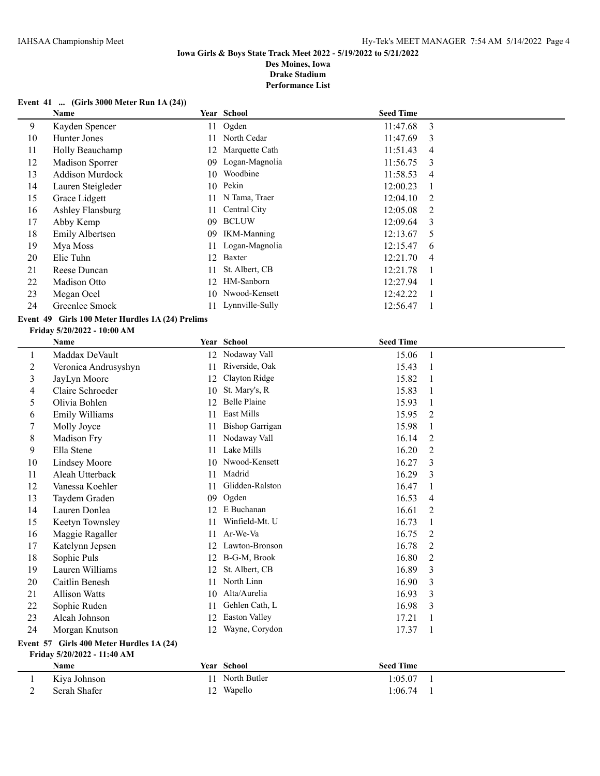**Performance List**

#### **Event 41 ... (Girls 3000 Meter Run 1A (24))**

|    | <b>Name</b>            |    | Year School        | <b>Seed Time</b> |               |
|----|------------------------|----|--------------------|------------------|---------------|
| 9  | Kayden Spencer         |    | 11 Ogden           | 11:47.68         | 3             |
| 10 | Hunter Jones           | 11 | North Cedar        | 11:47.69         | 3             |
| 11 | Holly Beauchamp        | 12 | Marquette Cath     | 11:51.43         | 4             |
| 12 | <b>Madison Sporrer</b> | 09 | Logan-Magnolia     | 11:56.75         | -3            |
| 13 | <b>Addison Murdock</b> |    | 10 Woodbine        | 11:58.53         | 4             |
| 14 | Lauren Steigleder      | 10 | Pekin              | 12:00.23         |               |
| 15 | Grace Lidgett          | 11 | N Tama, Traer      | 12:04.10         | 2             |
| 16 | Ashley Flansburg       | 11 | Central City       | 12:05.08         | $\mathcal{L}$ |
| 17 | Abby Kemp              | 09 | <b>BCLUW</b>       | 12:09.64         | 3             |
| 18 | Emily Albertsen        | 09 | <b>IKM-Manning</b> | 12:13.67         | 5             |
| 19 | Mya Moss               | 11 | Logan-Magnolia     | 12:15.47         | 6             |
| 20 | Elie Tuhn              | 12 | Baxter             | 12:21.70         | 4             |
| 21 | Reese Duncan           | 11 | St. Albert, CB     | 12:21.78         |               |
| 22 | Madison Otto           | 12 | HM-Sanborn         | 12:27.94         |               |
| 23 | Megan Ocel             | 10 | Nwood-Kensett      | 12:42.22         |               |
| 24 | Greenlee Smock         |    | 11 Lynnville-Sully | 12:56.47         |               |

### **Event 49 Girls 100 Meter Hurdles 1A (24) Prelims**

#### **Friday 5/20/2022 - 10:00 AM**

|         | Name                                             |    | Year School          | <b>Seed Time</b> |                |  |  |  |
|---------|--------------------------------------------------|----|----------------------|------------------|----------------|--|--|--|
| $\perp$ | Maddax DeVault                                   | 12 | Nodaway Vall         | 15.06            | 1              |  |  |  |
| 2       | Veronica Andrusyshyn                             | 11 | Riverside, Oak       | 15.43            |                |  |  |  |
| 3       | JayLyn Moore                                     | 12 | Clayton Ridge        | 15.82            |                |  |  |  |
| 4       | Claire Schroeder                                 | 10 | St. Mary's, R        | 15.83            | 1              |  |  |  |
| 5       | Olivia Bohlen                                    | 12 | <b>Belle Plaine</b>  | 15.93            | 1              |  |  |  |
| 6       | Emily Williams                                   | 11 | <b>East Mills</b>    | 15.95            | $\overline{2}$ |  |  |  |
|         | Molly Joyce                                      | 11 | Bishop Garrigan      | 15.98            | 1              |  |  |  |
| 8       | Madison Fry                                      | 11 | Nodaway Vall         | 16.14            | 2              |  |  |  |
| 9       | Ella Stene                                       | 11 | Lake Mills           | 16.20            | 2              |  |  |  |
| 10      | <b>Lindsey Moore</b>                             | 10 | Nwood-Kensett        | 16.27            | 3              |  |  |  |
| 11      | Aleah Utterback                                  | 11 | Madrid               | 16.29            | 3              |  |  |  |
| 12      | Vanessa Koehler                                  | 11 | Glidden-Ralston      | 16.47            | 1              |  |  |  |
| 13      | Taydem Graden                                    | 09 | Ogden                | 16.53            | 4              |  |  |  |
| 14      | Lauren Donlea                                    | 12 | E Buchanan           | 16.61            | 2              |  |  |  |
| 15      | Keetyn Townsley                                  | 11 | Winfield-Mt. U       | 16.73            | 1              |  |  |  |
| 16      | Maggie Ragaller                                  | 11 | Ar-We-Va             | 16.75            | 2              |  |  |  |
| 17      | Katelynn Jepsen                                  | 12 | Lawton-Bronson       | 16.78            | $\overline{2}$ |  |  |  |
| 18      | Sophie Puls                                      | 12 | B-G-M, Brook         | 16.80            | 2              |  |  |  |
| 19      | Lauren Williams                                  | 12 | St. Albert, CB       | 16.89            | 3              |  |  |  |
| 20      | Caitlin Benesh                                   | 11 | North Linn           | 16.90            | 3              |  |  |  |
| 21      | <b>Allison Watts</b>                             | 10 | Alta/Aurelia         | 16.93            | 3              |  |  |  |
| 22      | Sophie Ruden                                     | 11 | Gehlen Cath, L       | 16.98            | 3              |  |  |  |
| 23      | Aleah Johnson                                    | 12 | <b>Easton Valley</b> | 17.21            | 1              |  |  |  |
| 24      | Morgan Knutson                                   | 12 | Wayne, Corydon       | 17.37            |                |  |  |  |
|         | $FY$ ont 57 $FY$ irls 400 Motor Hurdles 1 A (24) |    |                      |                  |                |  |  |  |

#### **Event 57 Girls 400 Meter Hurdles 1A (24) Friday 5/20/2022 - 11:40 AM**

| <b>Name</b>  | Year School  | <b>Seed Time</b> |  |
|--------------|--------------|------------------|--|
| Kiya Johnson | North Butler | 1:05.07          |  |
| Serah Shafer | 12 Wapello   | 1:06.74          |  |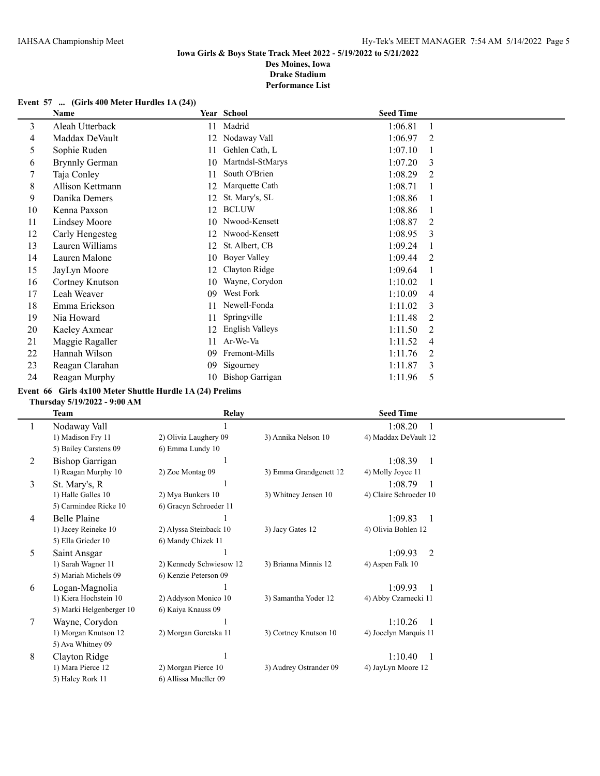#### **Event 57 ... (Girls 400 Meter Hurdles 1A (24))**

|    | Name                  |    | Year School            | <b>Seed Time</b> |   |
|----|-----------------------|----|------------------------|------------------|---|
| 3  | Aleah Utterback       | 11 | Madrid                 | 1:06.81          | 1 |
| 4  | Maddax DeVault        | 12 | Nodaway Vall           | 1:06.97          | 2 |
| 5  | Sophie Ruden          | 11 | Gehlen Cath, L         | 1:07.10          |   |
| 6  | <b>Brynnly German</b> | 10 | Martndsl-StMarys       | 1:07.20          | 3 |
| 7  | Taja Conley           | 11 | South O'Brien          | 1:08.29          | 2 |
| 8  | Allison Kettmann      | 12 | Marquette Cath         | 1:08.71          |   |
| 9  | Danika Demers         | 12 | St. Mary's, SL         | 1:08.86          |   |
| 10 | Kenna Paxson          | 12 | <b>BCLUW</b>           | 1:08.86          |   |
| 11 | <b>Lindsey Moore</b>  | 10 | Nwood-Kensett          | 1:08.87          | 2 |
| 12 | Carly Hengesteg       | 12 | Nwood-Kensett          | 1:08.95          | 3 |
| 13 | Lauren Williams       | 12 | St. Albert, CB         | 1:09.24          |   |
| 14 | Lauren Malone         | 10 | Boyer Valley           | 1:09.44          | 2 |
| 15 | JayLyn Moore          | 12 | Clayton Ridge          | 1:09.64          |   |
| 16 | Cortney Knutson       | 10 | Wayne, Corydon         | 1:10.02          |   |
| 17 | Leah Weaver           | 09 | West Fork              | 1:10.09          | 4 |
| 18 | Emma Erickson         | 11 | Newell-Fonda           | 1:11.02          | 3 |
| 19 | Nia Howard            | 11 | Springville            | 1:11.48          | 2 |
| 20 | Kaeley Axmear         | 12 | English Valleys        | 1:11.50          | 2 |
| 21 | Maggie Ragaller       | 11 | Ar-We-Va               | 1:11.52          | 4 |
| 22 | Hannah Wilson         | 09 | Fremont-Mills          | 1:11.76          | 2 |
| 23 | Reagan Clarahan       | 09 | Sigourney              | 1:11.87          | 3 |
| 24 | Reagan Murphy         | 10 | <b>Bishop Garrigan</b> | 1:11.96          | 5 |
|    |                       |    |                        |                  |   |

#### **Event 66 Girls 4x100 Meter Shuttle Hurdle 1A (24) Prelims**

#### **Thursday 5/19/2022 - 9:00 AM**

 $\overline{a}$ 

|              | <b>Team</b>              | <b>Relay</b>            |                        | <b>Seed Time</b>        |
|--------------|--------------------------|-------------------------|------------------------|-------------------------|
| $\mathbf{I}$ | Nodaway Vall             |                         |                        | 1:08.20                 |
|              | 1) Madison Fry 11        | 2) Olivia Laughery 09   | 3) Annika Nelson 10    | 4) Maddax DeVault 12    |
|              | 5) Bailey Carstens 09    | 6) Emma Lundy 10        |                        |                         |
| 2            | Bishop Garrigan          |                         |                        | 1:08.39<br>$\mathbf{1}$ |
|              | 1) Reagan Murphy 10      | 2) Zoe Montag 09        | 3) Emma Grandgenett 12 | 4) Molly Joyce 11       |
| 3            | St. Mary's, R            |                         |                        | 1:08.79<br>-1           |
|              | 1) Halle Galles 10       | 2) Mya Bunkers 10       | 3) Whitney Jensen 10   | 4) Claire Schroeder 10  |
|              | 5) Carmindee Ricke 10    | 6) Gracyn Schroeder 11  |                        |                         |
| 4            | Belle Plaine             |                         |                        | 1:09.83<br>-1           |
|              | 1) Jacey Reineke 10      | 2) Alyssa Steinback 10  | 3) Jacy Gates 12       | 4) Olivia Bohlen 12     |
|              | 5) Ella Grieder 10       | 6) Mandy Chizek 11      |                        |                         |
| 5.           | Saint Ansgar             |                         |                        | 1:09.93<br>2            |
|              | 1) Sarah Wagner 11       | 2) Kennedy Schwiesow 12 | 3) Brianna Minnis 12   | 4) Aspen Falk 10        |
|              | 5) Mariah Michels 09     | 6) Kenzie Peterson 09   |                        |                         |
| 6            | Logan-Magnolia           |                         |                        | 1:09.93                 |
|              | 1) Kiera Hochstein 10    | 2) Addyson Monico 10    | 3) Samantha Yoder 12   | 4) Abby Czarnecki 11    |
|              | 5) Marki Helgenberger 10 | 6) Kaiya Knauss 09      |                        |                         |
| 7            | Wayne, Corydon           |                         |                        | 1:10.26                 |
|              | 1) Morgan Knutson 12     | 2) Morgan Goretska 11   | 3) Cortney Knutson 10  | 4) Jocelyn Marquis 11   |
|              | 5) Ava Whitney 09        |                         |                        |                         |
| 8            | Clayton Ridge            |                         |                        | 1:10.40                 |
|              | 1) Mara Pierce 12        | 2) Morgan Pierce 10     | 3) Audrey Ostrander 09 | 4) JayLyn Moore 12      |
|              | 5) Haley Rork 11         | 6) Allissa Mueller 09   |                        |                         |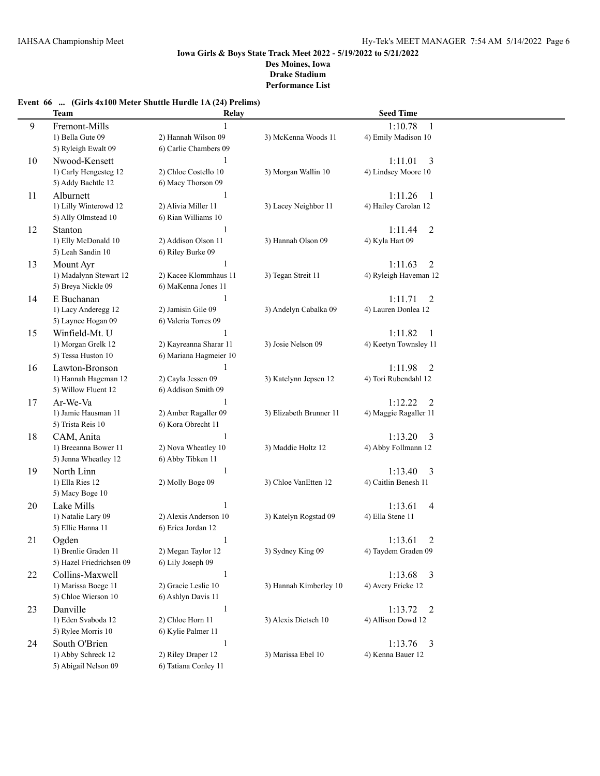## **Event 66 ... (Girls 4x100 Meter Shuttle Hurdle 1A (24) Prelims)**

|    | <b>Team</b>              | Relay                  |                         | <b>Seed Time</b>                    |  |
|----|--------------------------|------------------------|-------------------------|-------------------------------------|--|
| 9  | Fremont-Mills            |                        |                         | 1:10.78<br>-1                       |  |
|    | 1) Bella Gute 09         | 2) Hannah Wilson 09    | 3) McKenna Woods 11     | 4) Emily Madison 10                 |  |
|    | 5) Ryleigh Ewalt 09      | 6) Carlie Chambers 09  |                         |                                     |  |
| 10 | Nwood-Kensett            |                        |                         | 1:11.01<br>3                        |  |
|    | 1) Carly Hengesteg 12    | 2) Chloe Costello 10   | 3) Morgan Wallin 10     | 4) Lindsey Moore 10                 |  |
|    | 5) Addy Bachtle 12       | 6) Macy Thorson 09     |                         |                                     |  |
| 11 | Alburnett                | $\mathbf{1}$           |                         | 1:11.26<br>-1                       |  |
|    | 1) Lilly Winterowd 12    | 2) Alivia Miller 11    | 3) Lacey Neighbor 11    | 4) Hailey Carolan 12                |  |
|    | 5) Ally Olmstead 10      | 6) Rian Williams 10    |                         |                                     |  |
| 12 | Stanton                  | 1                      |                         | 1:11.44<br>2                        |  |
|    | 1) Elly McDonald 10      | 2) Addison Olson 11    | 3) Hannah Olson 09      | 4) Kyla Hart 09                     |  |
|    | 5) Leah Sandin 10        | 6) Riley Burke 09      |                         |                                     |  |
| 13 | Mount Ayr                |                        |                         | 1:11.63<br>2                        |  |
|    | 1) Madalynn Stewart 12   | 2) Kacee Klommhaus 11  | 3) Tegan Streit 11      | 4) Ryleigh Haveman 12               |  |
|    | 5) Breya Nickle 09       | 6) MaKenna Jones 11    |                         |                                     |  |
| 14 | E Buchanan               | 1                      |                         | 1:11.71<br>2                        |  |
|    | 1) Lacy Anderegg 12      | 2) Jamisin Gile 09     | 3) Andelyn Cabalka 09   | 4) Lauren Donlea 12                 |  |
|    | 5) Laynee Hogan 09       | 6) Valeria Torres 09   |                         |                                     |  |
| 15 | Winfield-Mt. U           | 1                      |                         | 1:11.82<br>-1                       |  |
|    | 1) Morgan Grelk 12       | 2) Kayreanna Sharar 11 | 3) Josie Nelson 09      | 4) Keetyn Townsley 11               |  |
|    | 5) Tessa Huston 10       | 6) Mariana Hagmeier 10 |                         |                                     |  |
| 16 | Lawton-Bronson           | $\mathbf{1}$           |                         | 1:11.98<br>2                        |  |
|    | 1) Hannah Hageman 12     | 2) Cayla Jessen 09     | 3) Katelynn Jepsen 12   | 4) Tori Rubendahl 12                |  |
|    | 5) Willow Fluent 12      | 6) Addison Smith 09    |                         |                                     |  |
| 17 | Ar-We-Va                 | 1                      |                         | 1:12.22<br>2                        |  |
|    | 1) Jamie Hausman 11      | 2) Amber Ragaller 09   | 3) Elizabeth Brunner 11 | 4) Maggie Ragaller 11               |  |
|    | 5) Trista Reis 10        | 6) Kora Obrecht 11     |                         |                                     |  |
| 18 | CAM, Anita               | $\mathbf{1}$           |                         | 1:13.20<br>3                        |  |
|    | 1) Breeanna Bower 11     | 2) Nova Wheatley 10    | 3) Maddie Holtz 12      | 4) Abby Follmann 12                 |  |
|    | 5) Jenna Wheatley 12     | 6) Abby Tibken 11      |                         |                                     |  |
| 19 | North Linn               | $\mathbf{1}$           |                         | 1:13.40<br>3                        |  |
|    | 1) Ella Ries 12          | 2) Molly Boge 09       | 3) Chloe VanEtten 12    | 4) Caitlin Benesh 11                |  |
|    | 5) Macy Boge 10          |                        |                         |                                     |  |
| 20 | Lake Mills               | $\mathbf{1}$           |                         | 1:13.61<br>4                        |  |
|    | 1) Natalie Lary 09       | 2) Alexis Anderson 10  | 3) Katelyn Rogstad 09   | 4) Ella Stene 11                    |  |
|    | 5) Ellie Hanna 11        | 6) Erica Jordan 12     |                         |                                     |  |
| 21 | Ogden                    | 1                      |                         | 1:13.61<br>2                        |  |
|    | 1) Brenlie Graden 11     | 2) Megan Taylor 12     | 3) Sydney King 09       | 4) Taydem Graden 09                 |  |
|    | 5) Hazel Friedrichsen 09 | 6) Lily Joseph 09      |                         |                                     |  |
| 22 | Collins-Maxwell          | $\mathbf{1}$           |                         | 1:13.68<br>3                        |  |
|    | 1) Marissa Boege 11      | 2) Gracie Leslie 10    | 3) Hannah Kimberley 10  | 4) Avery Fricke 12                  |  |
|    | 5) Chloe Wierson 10      | 6) Ashlyn Davis 11     |                         |                                     |  |
| 23 | Danville                 | $\mathbf{1}$           |                         | 1:13.72<br>$\overline{\phantom{0}}$ |  |
|    | 1) Eden Svaboda 12       | 2) Chloe Horn 11       | 3) Alexis Dietsch 10    | 4) Allison Dowd 12                  |  |
|    | 5) Rylee Morris 10       | 6) Kylie Palmer 11     |                         |                                     |  |
| 24 | South O'Brien            | $\mathbf{1}$           |                         | 1:13.76<br>$\overline{3}$           |  |
|    | 1) Abby Schreck 12       | 2) Riley Draper 12     | 3) Marissa Ebel 10      | 4) Kenna Bauer 12                   |  |
|    | 5) Abigail Nelson 09     | 6) Tatiana Conley 11   |                         |                                     |  |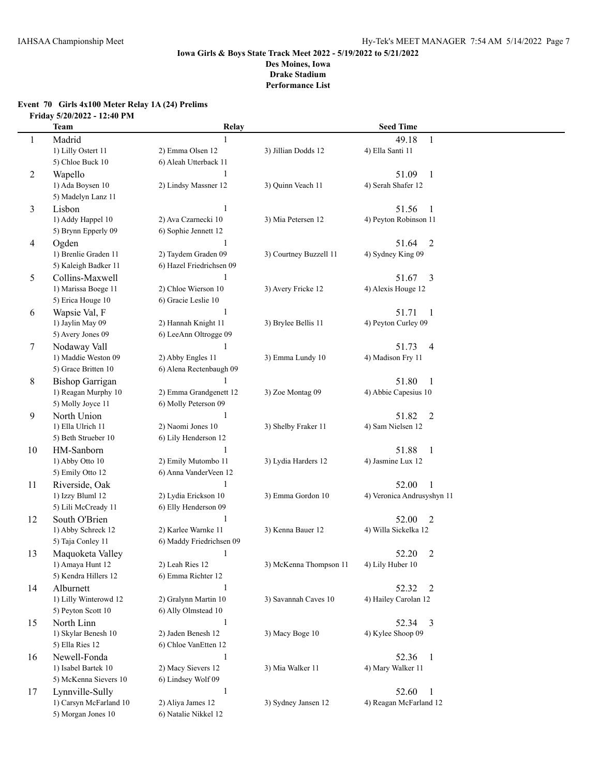## **Event 70 Girls 4x100 Meter Relay 1A (24) Prelims Friday 5/20/2022 - 12:40 PM**

|    | <b>Team</b>            | Relay                    |                        | <b>Seed Time</b>           |
|----|------------------------|--------------------------|------------------------|----------------------------|
| 1  | Madrid                 | 1                        |                        | 49.18<br>1                 |
|    | 1) Lilly Ostert 11     | 2) Emma Olsen 12         | 3) Jillian Dodds 12    | 4) Ella Santi 11           |
|    | 5) Chloe Buck 10       | 6) Aleah Utterback 11    |                        |                            |
| 2  | Wapello                | 1                        |                        | 51.09<br>$\mathbf{1}$      |
|    | 1) Ada Boysen 10       | 2) Lindsy Massner 12     | 3) Quinn Veach 11      | 4) Serah Shafer 12         |
|    | 5) Madelyn Lanz 11     |                          |                        |                            |
| 3  | Lisbon                 | 1                        |                        | 51.56<br>1                 |
|    | 1) Addy Happel 10      | 2) Ava Czarnecki 10      | 3) Mia Petersen 12     | 4) Peyton Robinson 11      |
|    | 5) Brynn Epperly 09    | 6) Sophie Jennett 12     |                        |                            |
| 4  | Ogden                  | $\mathbf{1}$             |                        | $\overline{2}$<br>51.64    |
|    | 1) Brenlie Graden 11   | 2) Taydem Graden 09      | 3) Courtney Buzzell 11 | 4) Sydney King 09          |
|    | 5) Kaleigh Badker 11   | 6) Hazel Friedrichsen 09 |                        |                            |
| 5  | Collins-Maxwell        |                          |                        | $\overline{3}$<br>51.67    |
|    | 1) Marissa Boege 11    | 2) Chloe Wierson 10      | 3) Avery Fricke 12     | 4) Alexis Houge 12         |
|    | 5) Erica Houge 10      | 6) Gracie Leslie 10      |                        |                            |
| 6  | Wapsie Val, F          | 1                        |                        | 51.71<br>$\mathbf{1}$      |
|    | 1) Jaylin May 09       | 2) Hannah Knight 11      | 3) Brylee Bellis 11    | 4) Peyton Curley 09        |
|    | 5) Avery Jones 09      | 6) LeeAnn Oltrogge 09    |                        |                            |
| 7  | Nodaway Vall           |                          |                        | 51.73<br>$\overline{4}$    |
|    | 1) Maddie Weston 09    | 2) Abby Engles 11        | 3) Emma Lundy 10       | 4) Madison Fry 11          |
|    | 5) Grace Britten 10    | 6) Alena Rectenbaugh 09  |                        |                            |
| 8  | <b>Bishop Garrigan</b> |                          |                        | 51.80<br>1                 |
|    | 1) Reagan Murphy 10    | 2) Emma Grandgenett 12   | 3) Zoe Montag 09       | 4) Abbie Capesius 10       |
|    | 5) Molly Joyce 11      | 6) Molly Peterson 09     |                        |                            |
| 9  | North Union            | $\mathbf{1}$             |                        | 51.82<br>$\overline{2}$    |
|    | 1) Ella Ulrich 11      | 2) Naomi Jones 10        | 3) Shelby Fraker 11    | 4) Sam Nielsen 12          |
|    | 5) Beth Strueber 10    | 6) Lily Henderson 12     |                        |                            |
| 10 | HM-Sanborn             | 1                        |                        | 51.88<br>$\mathbf{1}$      |
|    | 1) Abby Otto 10        | 2) Emily Mutombo 11      | 3) Lydia Harders 12    | 4) Jasmine Lux 12          |
|    | 5) Emily Otto 12       | 6) Anna VanderVeen 12    |                        |                            |
| 11 | Riverside, Oak         | $\mathbf{1}$             |                        | 52.00                      |
|    | 1) Izzy Bluml 12       | 2) Lydia Erickson 10     | 3) Emma Gordon 10      | 4) Veronica Andrusyshyn 11 |
|    | 5) Lili McCready 11    | 6) Elly Henderson 09     |                        |                            |
| 12 | South O'Brien          | 1                        |                        | 52.00<br>$\overline{2}$    |
|    | 1) Abby Schreck 12     | 2) Karlee Warnke 11      | 3) Kenna Bauer 12      | 4) Willa Sickelka 12       |
|    | 5) Taja Conley 11      | 6) Maddy Friedrichsen 09 |                        |                            |
| 13 | Maquoketa Valley       | $\mathbf{1}$             |                        | 52.20<br>$\overline{2}$    |
|    | 1) Amaya Hunt 12       | 2) Leah Ries 12          | 3) McKenna Thompson 11 | 4) Lily Huber 10           |
|    | 5) Kendra Hillers 12   | 6) Emma Richter 12       |                        |                            |
| 14 | Alburnett              | $\mathbf{1}$             |                        | 52.32<br>2                 |
|    | 1) Lilly Winterowd 12  | 2) Gralynn Martin 10     | 3) Savannah Caves 10   | 4) Hailey Carolan 12       |
|    | 5) Peyton Scott 10     | 6) Ally Olmstead 10      |                        |                            |
| 15 | North Linn             | $\mathbf{1}$             |                        | 52.34 3                    |
|    | 1) Skylar Benesh 10    | 2) Jaden Benesh 12       | 3) Macy Boge 10        | 4) Kylee Shoop 09          |
|    | 5) Ella Ries 12        | 6) Chloe VanEtten 12     |                        |                            |
| 16 | Newell-Fonda           | $\mathbf{1}$             |                        | 52.36<br>$\mathbf{1}$      |
|    | 1) Isabel Bartek 10    | 2) Macy Sievers 12       | 3) Mia Walker 11       | 4) Mary Walker 11          |
|    | 5) McKenna Sievers 10  | 6) Lindsey Wolf 09       |                        |                            |
| 17 | Lynnville-Sully        | $\mathbf{1}$             |                        | 52.60<br>$\mathbf{1}$      |
|    | 1) Carsyn McFarland 10 | 2) Aliya James 12        | 3) Sydney Jansen 12    | 4) Reagan McFarland 12     |
|    | 5) Morgan Jones 10     | 6) Natalie Nikkel 12     |                        |                            |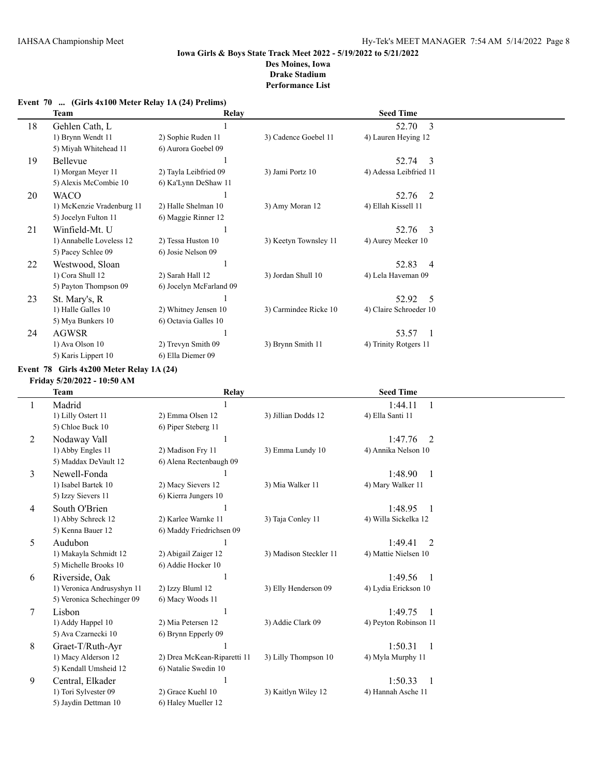|  |  | Event 70  (Girls 4x100 Meter Relay 1A (24) Prelims) |  |  |  |  |
|--|--|-----------------------------------------------------|--|--|--|--|
|--|--|-----------------------------------------------------|--|--|--|--|

|    | <b>Team</b>               | Relay                   |                       | <b>Seed Time</b>        |  |
|----|---------------------------|-------------------------|-----------------------|-------------------------|--|
| 18 | Gehlen Cath, L            |                         |                       | 52.70<br>3              |  |
|    | 1) Brynn Wendt 11         | 2) Sophie Ruden 11      | 3) Cadence Goebel 11  | 4) Lauren Heying 12     |  |
|    | 5) Miyah Whitehead 11     | 6) Aurora Goebel 09     |                       |                         |  |
| 19 | Bellevue                  |                         |                       | 52.74<br>-3             |  |
|    | 1) Morgan Meyer 11        | 2) Tayla Leibfried 09   | 3) Jami Portz 10      | 4) Adessa Leibfried 11  |  |
|    | 5) Alexis McCombie 10     | 6) Ka'Lynn DeShaw 11    |                       |                         |  |
| 20 | <b>WACO</b>               |                         |                       | 52.76<br>-2             |  |
|    | 1) McKenzie Vradenburg 11 | 2) Halle Shelman 10     | 3) Amy Moran 12       | 4) Ellah Kissell 11     |  |
|    | 5) Jocelyn Fulton 11      | 6) Maggie Rinner 12     |                       |                         |  |
| 21 | Winfield-Mt. U            |                         |                       | 52.76<br>-3             |  |
|    | 1) Annabelle Loveless 12  | 2) Tessa Huston 10      | 3) Keetyn Townsley 11 | 4) Aurey Meeker 10      |  |
|    | 5) Pacey Schlee 09        | 6) Josie Nelson 09      |                       |                         |  |
| 22 | Westwood, Sloan           |                         |                       | 52.83<br>$\overline{4}$ |  |
|    | 1) Cora Shull 12          | 2) Sarah Hall 12        | 3) Jordan Shull 10    | 4) Lela Haveman 09      |  |
|    | 5) Payton Thompson 09     | 6) Jocelyn McFarland 09 |                       |                         |  |
| 23 | St. Mary's, R             |                         |                       | 52.92<br>5              |  |
|    | 1) Halle Galles 10        | 2) Whitney Jensen 10    | 3) Carmindee Ricke 10 | 4) Claire Schroeder 10  |  |
|    | 5) Mya Bunkers 10         | 6) Octavia Galles 10    |                       |                         |  |
| 24 | <b>AGWSR</b>              |                         |                       | 53.57                   |  |
|    | 1) Ava Olson 10           | 2) Trevyn Smith 09      | 3) Brynn Smith 11     | 4) Trinity Rotgers 11   |  |
|    | 5) Karis Lippert 10       | 6) Ella Diemer 09       |                       |                         |  |

#### **Event 78 Girls 4x200 Meter Relay 1A (24)**

**Friday 5/20/2022 - 10:50 AM**

|        | <b>Team</b>                | <b>Relay</b>                |                        | <b>Seed Time</b>          |  |
|--------|----------------------------|-----------------------------|------------------------|---------------------------|--|
|        | Madrid                     |                             |                        | 1:44.11<br>-1             |  |
|        | 1) Lilly Ostert 11         | 2) Emma Olsen 12            | 3) Jillian Dodds 12    | 4) Ella Santi 11          |  |
|        | 5) Chloe Buck 10           | 6) Piper Steberg 11         |                        |                           |  |
| 2      | Nodaway Vall               |                             |                        | 1:47.76<br>2              |  |
|        | 1) Abby Engles 11          | 2) Madison Fry 11           | 3) Emma Lundy 10       | 4) Annika Nelson 10       |  |
|        | 5) Maddax DeVault 12       | 6) Alena Rectenbaugh 09     |                        |                           |  |
| 3      | Newell-Fonda               |                             |                        | 1:48.90<br>$\overline{1}$ |  |
|        | 1) Isabel Bartek 10        | 2) Macy Sievers 12          | 3) Mia Walker 11       | 4) Mary Walker 11         |  |
|        | 5) Izzy Sievers 11         | 6) Kierra Jungers 10        |                        |                           |  |
| 4      | South O'Brien              |                             |                        | 1:48.95<br>$\overline{1}$ |  |
|        | 1) Abby Schreck 12         | 2) Karlee Warnke 11         | 3) Taja Conley 11      | 4) Willa Sickelka 12      |  |
|        | 5) Kenna Bauer 12          | 6) Maddy Friedrichsen 09    |                        |                           |  |
| 5      | Audubon                    |                             |                        | 1:49.41<br>2              |  |
|        | 1) Makayla Schmidt 12      | 2) Abigail Zaiger 12        | 3) Madison Steckler 11 | 4) Mattie Nielsen 10      |  |
|        | 5) Michelle Brooks 10      | 6) Addie Hocker 10          |                        |                           |  |
| 6      | Riverside, Oak             |                             |                        | 1:49.56<br>$\overline{1}$ |  |
|        | 1) Veronica Andrusyshyn 11 | 2) Izzy Bluml 12            | 3) Elly Henderson 09   | 4) Lydia Erickson 10      |  |
|        | 5) Veronica Schechinger 09 | 6) Macy Woods 11            |                        |                           |  |
| $\tau$ | Lisbon                     |                             |                        | 1:49.75                   |  |
|        | 1) Addy Happel 10          | 2) Mia Petersen 12          | 3) Addie Clark 09      | 4) Peyton Robinson 11     |  |
|        | 5) Ava Czarnecki 10        | 6) Brynn Epperly 09         |                        |                           |  |
| 8      | Graet-T/Ruth-Ayr           |                             |                        | 1:50.31<br>$\overline{1}$ |  |
|        | 1) Macy Alderson 12        | 2) Drea McKean-Riparetti 11 | 3) Lilly Thompson 10   | 4) Myla Murphy 11         |  |
|        | 5) Kendall Umsheid 12      | 6) Natalie Swedin 10        |                        |                           |  |
| 9      | Central, Elkader           |                             |                        | 1:50.33<br>$\overline{1}$ |  |
|        | 1) Tori Sylvester 09       | 2) Grace Kuehl 10           | 3) Kaitlyn Wiley 12    | 4) Hannah Asche 11        |  |
|        | 5) Jaydin Dettman 10       | 6) Haley Mueller 12         |                        |                           |  |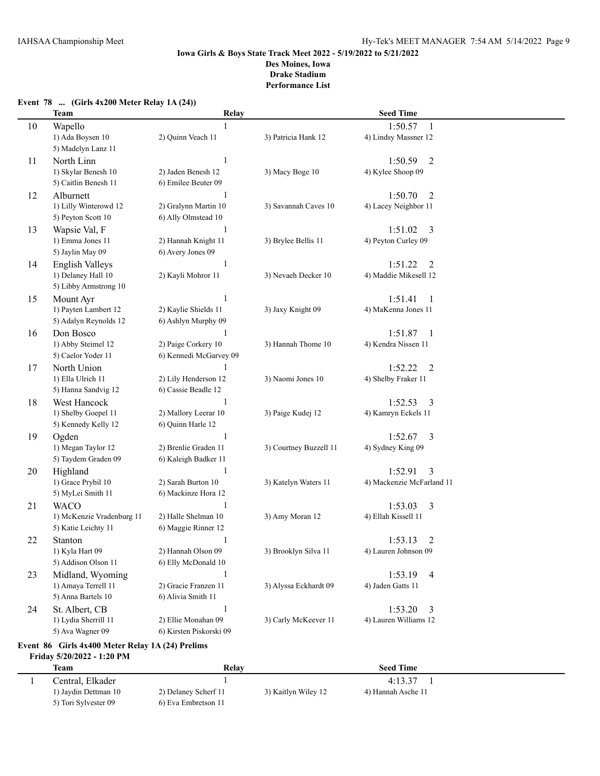|    | <b>Team</b>                                              | Relay                   |                        | <b>Seed Time</b>          |  |
|----|----------------------------------------------------------|-------------------------|------------------------|---------------------------|--|
| 10 | Wapello                                                  |                         |                        | 1:50.57<br>1              |  |
|    | 1) Ada Boysen 10                                         | 2) Quinn Veach 11       | 3) Patricia Hank 12    | 4) Lindsy Massner 12      |  |
|    | 5) Madelyn Lanz 11                                       |                         |                        |                           |  |
| 11 | North Linn                                               | 1                       |                        | $\overline{2}$<br>1:50.59 |  |
|    | 1) Skylar Benesh 10                                      | 2) Jaden Benesh 12      | 3) Macy Boge 10        | 4) Kylee Shoop 09         |  |
|    | 5) Caitlin Benesh 11                                     | 6) Emilee Beuter 09     |                        |                           |  |
| 12 | Alburnett                                                | 1                       |                        | $\overline{2}$<br>1:50.70 |  |
|    | 1) Lilly Winterowd 12                                    | 2) Gralynn Martin 10    | 3) Savannah Caves 10   | 4) Lacey Neighbor 11      |  |
|    | 5) Peyton Scott 10                                       | 6) Ally Olmstead 10     |                        |                           |  |
| 13 | Wapsie Val, F                                            | 1                       |                        | 1:51.02<br>3              |  |
|    | 1) Emma Jones 11                                         | 2) Hannah Knight 11     | 3) Brylee Bellis 11    | 4) Peyton Curley 09       |  |
|    | 5) Jaylin May 09                                         | 6) Avery Jones 09       |                        |                           |  |
| 14 | <b>English Valleys</b>                                   | 1                       |                        | 1:51.22<br>2              |  |
|    | 1) Delaney Hall 10                                       | 2) Kayli Mohror 11      | 3) Nevaeh Decker 10    | 4) Maddie Mikesell 12     |  |
|    | 5) Libby Armstrong 10                                    |                         |                        |                           |  |
| 15 | Mount Ayr                                                | 1                       |                        | 1:51.41<br>1              |  |
|    | 1) Payten Lambert 12                                     | 2) Kaylie Shields 11    | 3) Jaxy Knight 09      | 4) MaKenna Jones 11       |  |
|    | 5) Adalyn Reynolds 12                                    | 6) Ashlyn Murphy 09     |                        |                           |  |
| 16 | Don Bosco                                                | 1                       |                        | 1:51.87<br>1              |  |
|    | 1) Abby Steimel 12                                       | 2) Paige Corkery 10     | 3) Hannah Thome 10     | 4) Kendra Nissen 11       |  |
|    | 5) Caelor Yoder 11                                       | 6) Kennedi McGarvey 09  |                        |                           |  |
| 17 | North Union                                              |                         |                        | 1:52.22<br>$\overline{2}$ |  |
|    | 1) Ella Ulrich 11                                        | 2) Lily Henderson 12    | 3) Naomi Jones 10      | 4) Shelby Fraker 11       |  |
|    | 5) Hanna Sandvig 12                                      | 6) Cassie Beadle 12     |                        |                           |  |
| 18 | West Hancock                                             | 1                       |                        | 1:52.53<br>3              |  |
|    | 1) Shelby Goepel 11                                      | 2) Mallory Leerar 10    | 3) Paige Kudej 12      | 4) Kamryn Eckels 11       |  |
|    | 5) Kennedy Kelly 12                                      | 6) Quinn Harle 12       |                        |                           |  |
| 19 | Ogden                                                    | 1                       |                        | 1:52.67<br>3              |  |
|    | 1) Megan Taylor 12                                       | 2) Brenlie Graden 11    | 3) Courtney Buzzell 11 | 4) Sydney King 09         |  |
|    | 5) Taydem Graden 09                                      | 6) Kaleigh Badker 11    |                        |                           |  |
| 20 | Highland                                                 | 1                       |                        | 1:52.91<br>3              |  |
|    | 1) Grace Prybil 10                                       | 2) Sarah Burton 10      | 3) Katelyn Waters 11   | 4) Mackenzie McFarland 11 |  |
|    | 5) MyLei Smith 11                                        | 6) Mackinze Hora 12     |                        |                           |  |
| 21 | <b>WACO</b>                                              | 1                       |                        | 1:53.03<br>3              |  |
|    | 1) McKenzie Vradenburg 11                                | 2) Halle Shelman 10     | 3) Amy Moran 12        | 4) Ellah Kissell 11       |  |
|    | 5) Katie Leichty 11                                      | 6) Maggie Rinner 12     |                        |                           |  |
| 22 | Stanton                                                  | 1                       |                        | 1:53.13<br>2              |  |
|    | 1) Kyla Hart 09                                          | 2) Hannah Olson 09      | 3) Brooklyn Silva 11   | 4) Lauren Johnson 09      |  |
|    | 5) Addison Olson 11                                      | 6) Elly McDonald 10     |                        |                           |  |
| 23 | Midland, Wyoming                                         | 1                       |                        | 1:53.19<br>4              |  |
|    | 1) Amaya Terrell 11                                      | 2) Gracie Franzen 11    | 3) Alyssa Eckhardt 09  | 4) Jaden Gatts 11         |  |
|    | 5) Anna Bartels 10                                       | 6) Alivia Smith 11      |                        |                           |  |
| 24 | St. Albert, CB                                           | 1                       |                        | 1:53.20<br>3              |  |
|    | 1) Lydia Sherrill 11                                     | 2) Ellie Monahan 09     | 3) Carly McKeever 11   | 4) Lauren Williams 12     |  |
|    | 5) Ava Wagner 09                                         | 6) Kirsten Piskorski 09 |                        |                           |  |
|    | <b>Event 86 Cirls 4x400 Meter Relay 1 A (24) Prelims</b> |                         |                        |                           |  |

### **Event 78 ... (Girls 4x200 Meter Relay 1A (24))**

**Event 86 Girls 4x400 Meter Relay 1A (24) Prelims Friday 5/20/2022 - 1:20 PM**

| Team                 | Relay                |                     | <b>Seed Time</b>   |  |
|----------------------|----------------------|---------------------|--------------------|--|
| Central. Elkader     |                      |                     | 4:13.37            |  |
| 1) Jaydin Dettman 10 | 2) Delaney Scherf 11 | 3) Kaitlyn Wiley 12 | 4) Hannah Asche 11 |  |
| 5) Tori Sylvester 09 | 6) Eva Embretson 11  |                     |                    |  |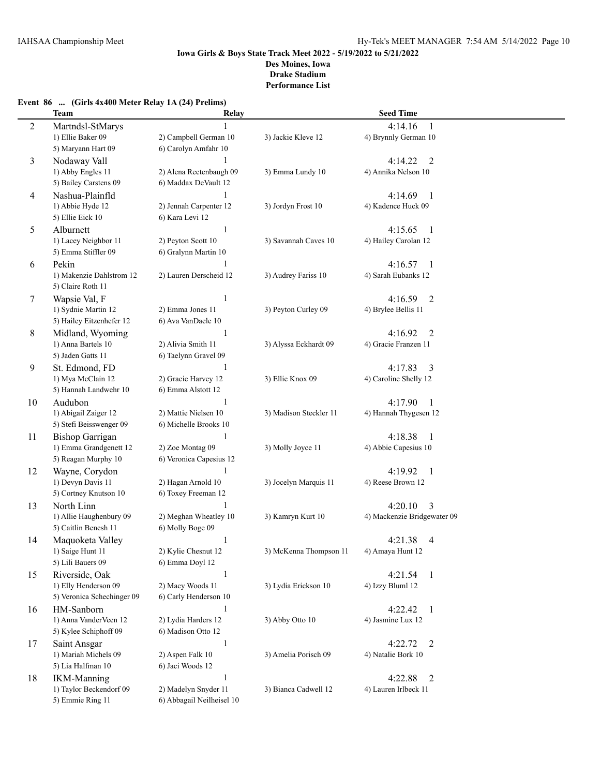## **Event 86 ... (Girls 4x400 Meter Relay 1A (24) Prelims)**

|    | <b>Team</b>                          | Relay                            |                        | <b>Seed Time</b>                   |
|----|--------------------------------------|----------------------------------|------------------------|------------------------------------|
| 2  | Martndsl-StMarys                     |                                  |                        | 4:14.16<br>-1                      |
|    | 1) Ellie Baker 09                    | 2) Campbell German 10            | 3) Jackie Kleve 12     | 4) Brynnly German 10               |
|    | 5) Maryann Hart 09                   | 6) Carolyn Amfahr 10             |                        |                                    |
| 3  | Nodaway Vall                         |                                  |                        | 4:14.22<br>$\overline{2}$          |
|    | 1) Abby Engles 11                    | 2) Alena Rectenbaugh 09          | 3) Emma Lundy 10       | 4) Annika Nelson 10                |
|    | 5) Bailey Carstens 09                | 6) Maddax DeVault 12             |                        |                                    |
| 4  | Nashua-Plainfld                      | $\mathbf{1}$                     |                        | 4:14.69<br>-1                      |
|    | 1) Abbie Hyde 12                     | 2) Jennah Carpenter 12           | 3) Jordyn Frost 10     | 4) Kadence Huck 09                 |
|    | 5) Ellie Eick 10                     | 6) Kara Levi 12                  |                        |                                    |
| 5  | Alburnett                            | $\mathbf{1}$                     |                        | 4:15.65<br>-1                      |
|    | 1) Lacey Neighbor 11                 | 2) Peyton Scott 10               | 3) Savannah Caves 10   | 4) Hailey Carolan 12               |
|    | 5) Emma Stiffler 09                  | 6) Gralynn Martin 10             |                        |                                    |
| 6  | Pekin                                | 1                                |                        | 4:16.57<br>-1                      |
|    | 1) Makenzie Dahlstrom 12             | 2) Lauren Derscheid 12           | 3) Audrey Fariss 10    | 4) Sarah Eubanks 12                |
|    | 5) Claire Roth 11                    |                                  |                        |                                    |
| 7  | Wapsie Val, F                        | 1                                |                        | 4:16.59<br>$\overline{2}$          |
|    | 1) Sydnie Martin 12                  | 2) Emma Jones 11                 | 3) Peyton Curley 09    | 4) Brylee Bellis 11                |
|    | 5) Hailey Eitzenhefer 12             | 6) Ava VanDaele 10               |                        |                                    |
| 8  | Midland, Wyoming                     | $\mathbf{1}$                     |                        | 4:16.92<br>2                       |
|    | 1) Anna Bartels 10                   | 2) Alivia Smith 11               | 3) Alyssa Eckhardt 09  | 4) Gracie Franzen 11               |
|    | 5) Jaden Gatts 11                    | 6) Taelynn Gravel 09             |                        |                                    |
| 9  | St. Edmond, FD                       | 1                                |                        | 4:17.83<br>3                       |
|    | 1) Mya McClain 12                    | 2) Gracie Harvey 12              | 3) Ellie Knox 09       | 4) Caroline Shelly 12              |
|    | 5) Hannah Landwehr 10                | 6) Emma Alstott 12               |                        |                                    |
| 10 | Audubon                              | 1                                |                        | 4:17.90<br>-1                      |
|    | 1) Abigail Zaiger 12                 | 2) Mattie Nielsen 10             | 3) Madison Steckler 11 | 4) Hannah Thygesen 12              |
|    | 5) Stefi Beisswenger 09              | 6) Michelle Brooks 10            |                        |                                    |
| 11 | <b>Bishop Garrigan</b>               | $\mathbf{1}$                     |                        | 4:18.38<br>$\mathbf{1}$            |
|    | 1) Emma Grandgenett 12               | 2) Zoe Montag 09                 | 3) Molly Joyce 11      | 4) Abbie Capesius 10               |
|    | 5) Reagan Murphy 10                  | 6) Veronica Capesius 12          |                        |                                    |
| 12 | Wayne, Corydon                       | 1                                |                        | 4:19.92<br>$\mathbf{1}$            |
|    | 1) Devyn Davis 11                    | 2) Hagan Arnold 10               | 3) Jocelyn Marquis 11  | 4) Reese Brown 12                  |
|    | 5) Cortney Knutson 10                | 6) Toxey Freeman 12              |                        |                                    |
| 13 | North Linn                           |                                  |                        | 4:20.10<br>3                       |
|    | 1) Allie Haughenbury 09              | 2) Meghan Wheatley 10            | 3) Kamryn Kurt 10      | 4) Mackenzie Bridgewater 09        |
|    | 5) Caitlin Benesh 11                 | 6) Molly Boge 09                 |                        |                                    |
| 14 | Maquoketa Valley                     | $\mathbf{1}$                     |                        | 4:21.38<br>4                       |
|    | 1) Saige Hunt 11                     | 2) Kylie Chesnut 12              | 3) McKenna Thompson 11 | 4) Amaya Hunt 12                   |
|    | 5) Lili Bauers 09                    | 6) Emma Doyl 12                  |                        |                                    |
| 15 | Riverside, Oak                       | $\mathbf{1}$                     |                        | 4:21.54<br>$\mathbf{1}$            |
|    | 1) Elly Henderson 09                 | 2) Macy Woods 11                 | 3) Lydia Erickson 10   | 4) Izzy Bluml 12                   |
|    | 5) Veronica Schechinger 09           | 6) Carly Henderson 10            |                        |                                    |
| 16 | HM-Sanborn                           | $\mathbf{1}$                     |                        | 4:22.42<br>-1                      |
|    | 1) Anna VanderVeen 12                | 2) Lydia Harders 12              | 3) Abby Otto 10        | 4) Jasmine Lux 12                  |
|    | 5) Kylee Schiphoff 09                | 6) Madison Otto 12               |                        |                                    |
| 17 | Saint Ansgar<br>1) Mariah Michels 09 | $\mathbf{1}$<br>2) Aspen Falk 10 | 3) Amelia Porisch 09   | 4:22.72<br>2<br>4) Natalie Bork 10 |
|    | 5) Lia Halfman 10                    | 6) Jaci Woods 12                 |                        |                                    |
|    | <b>IKM-Manning</b>                   | $\mathbf{1}$                     |                        | 4:22.88                            |
| 18 | 1) Taylor Beckendorf 09              | 2) Madelyn Snyder 11             | 3) Bianca Cadwell 12   | 2<br>4) Lauren Irlbeck 11          |
|    | 5) Emmie Ring 11                     | 6) Abbagail Neilheisel 10        |                        |                                    |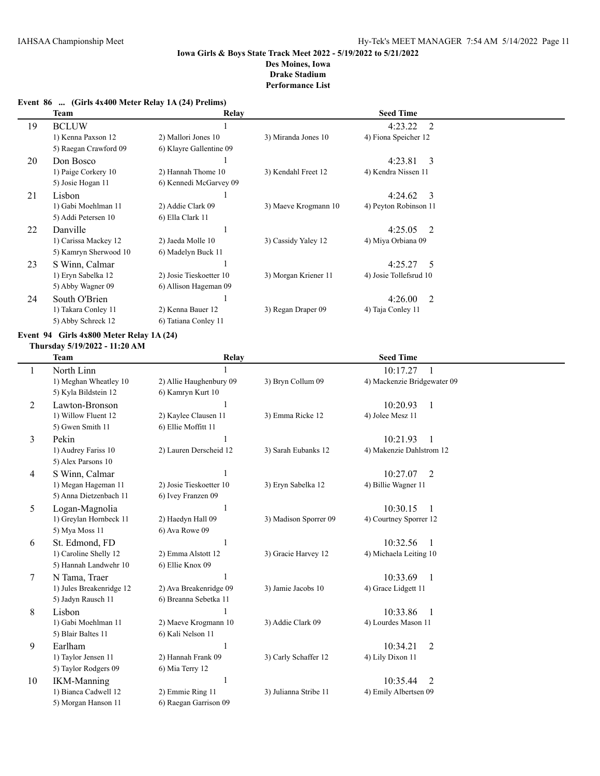### **Event 86 ... (Girls 4x400 Meter Relay 1A (24) Prelims)**

|    | Team                  | Relay                   |                      | <b>Seed Time</b>                     |  |
|----|-----------------------|-------------------------|----------------------|--------------------------------------|--|
| 19 | <b>BCLUW</b>          |                         |                      | 4:23.22<br>2                         |  |
|    | 1) Kenna Paxson 12    | 2) Mallori Jones 10     | 3) Miranda Jones 10  | 4) Fiona Speicher 12                 |  |
|    | 5) Raegan Crawford 09 | 6) Klayre Gallentine 09 |                      |                                      |  |
| 20 | Don Bosco             |                         |                      | 4:23.81<br>$\overline{\phantom{a}3}$ |  |
|    | 1) Paige Corkery 10   | 2) Hannah Thome 10      | 3) Kendahl Freet 12  | 4) Kendra Nissen 11                  |  |
|    | 5) Josie Hogan 11     | 6) Kennedi McGarvey 09  |                      |                                      |  |
| 21 | Lisbon                |                         |                      | $4:24.62 \quad 3$                    |  |
|    | 1) Gabi Moehlman 11   | 2) Addie Clark 09       | 3) Maeve Krogmann 10 | 4) Peyton Robinson 11                |  |
|    | 5) Addi Petersen 10   | 6) Ella Clark 11        |                      |                                      |  |
| 22 | Danville              |                         |                      | $4:25.05$ 2                          |  |
|    | 1) Carissa Mackey 12  | 2) Jaeda Molle 10       | 3) Cassidy Yaley 12  | 4) Miya Orbiana 09                   |  |
|    | 5) Kamryn Sherwood 10 | 6) Madelyn Buck 11      |                      |                                      |  |
| 23 | S Winn, Calmar        |                         |                      | $4:25.27$ 5                          |  |
|    | 1) Eryn Sabelka 12    | 2) Josie Tieskoetter 10 | 3) Morgan Kriener 11 | 4) Josie Tollefsrud 10               |  |
|    | 5) Abby Wagner 09     | 6) Allison Hageman 09   |                      |                                      |  |
| 24 | South O'Brien         |                         |                      | 4:26.00<br>2                         |  |
|    | 1) Takara Conley 11   | 2) Kenna Bauer 12       | 3) Regan Draper 09   | 4) Taja Conley 11                    |  |
|    | 5) Abby Schreck 12    | 6) Tatiana Conley 11    |                      |                                      |  |

## **Event 94 Girls 4x800 Meter Relay 1A (24)**

#### **Thursday 5/19/2022 - 11:20 AM**

|    | Team                     | Relay                   |                       | <b>Seed Time</b>            |  |
|----|--------------------------|-------------------------|-----------------------|-----------------------------|--|
| 1  | North Linn               |                         |                       | 10:17.27<br>-1              |  |
|    | 1) Meghan Wheatley 10    | 2) Allie Haughenbury 09 | 3) Bryn Collum 09     | 4) Mackenzie Bridgewater 09 |  |
|    | 5) Kyla Bildstein 12     | 6) Kamryn Kurt 10       |                       |                             |  |
| 2  | Lawton-Bronson           |                         |                       | 10:20.93<br>$\overline{1}$  |  |
|    | 1) Willow Fluent 12      | 2) Kaylee Clausen 11    | 3) Emma Ricke 12      | 4) Jolee Mesz 11            |  |
|    | 5) Gwen Smith 11         | 6) Ellie Moffitt 11     |                       |                             |  |
| 3  | Pekin                    |                         |                       | 10:21.93<br>1               |  |
|    | 1) Audrey Fariss 10      | 2) Lauren Derscheid 12  | 3) Sarah Eubanks 12   | 4) Makenzie Dahlstrom 12    |  |
|    | 5) Alex Parsons 10       |                         |                       |                             |  |
| 4  | S Winn, Calmar           |                         |                       | 10:27.07<br>2               |  |
|    | 1) Megan Hageman 11      | 2) Josie Tieskoetter 10 | 3) Eryn Sabelka 12    | 4) Billie Wagner 11         |  |
|    | 5) Anna Dietzenbach 11   | 6) Ivey Franzen 09      |                       |                             |  |
| 5  | Logan-Magnolia           | 1                       |                       | 10:30.15<br>$\overline{1}$  |  |
|    | 1) Greylan Hornbeck 11   | 2) Haedyn Hall 09       | 3) Madison Sporrer 09 | 4) Courtney Sporrer 12      |  |
|    | 5) Mya Moss 11           | 6) Ava Rowe 09          |                       |                             |  |
| 6  | St. Edmond, FD           | 1                       |                       | 10:32.56<br>$\mathbf{1}$    |  |
|    | 1) Caroline Shelly 12    | 2) Emma Alstott 12      | 3) Gracie Harvey 12   | 4) Michaela Leiting 10      |  |
|    | 5) Hannah Landwehr 10    | 6) Ellie Knox 09        |                       |                             |  |
| 7  | N Tama, Traer            |                         |                       | 10:33.69<br>$\overline{1}$  |  |
|    | 1) Jules Breakenridge 12 | 2) Ava Breakenridge 09  | 3) Jamie Jacobs 10    | 4) Grace Lidgett 11         |  |
|    | 5) Jadyn Rausch 11       | 6) Breanna Sebetka 11   |                       |                             |  |
| 8  | Lisbon                   |                         |                       | 10:33.86<br>$\overline{1}$  |  |
|    | 1) Gabi Moehlman 11      | 2) Maeve Krogmann 10    | 3) Addie Clark 09     | 4) Lourdes Mason 11         |  |
|    | 5) Blair Baltes 11       | 6) Kali Nelson 11       |                       |                             |  |
| 9  | Earlham                  | 1                       |                       | $\overline{2}$<br>10:34.21  |  |
|    | 1) Taylor Jensen 11      | 2) Hannah Frank 09      | 3) Carly Schaffer 12  | 4) Lily Dixon 11            |  |
|    | 5) Taylor Rodgers 09     | 6) Mia Terry 12         |                       |                             |  |
| 10 | <b>IKM-Manning</b>       | 1                       |                       | 10:35.44<br>2               |  |
|    | 1) Bianca Cadwell 12     | 2) Emmie Ring 11        | 3) Julianna Stribe 11 | 4) Emily Albertsen 09       |  |
|    | 5) Morgan Hanson 11      | 6) Raegan Garrison 09   |                       |                             |  |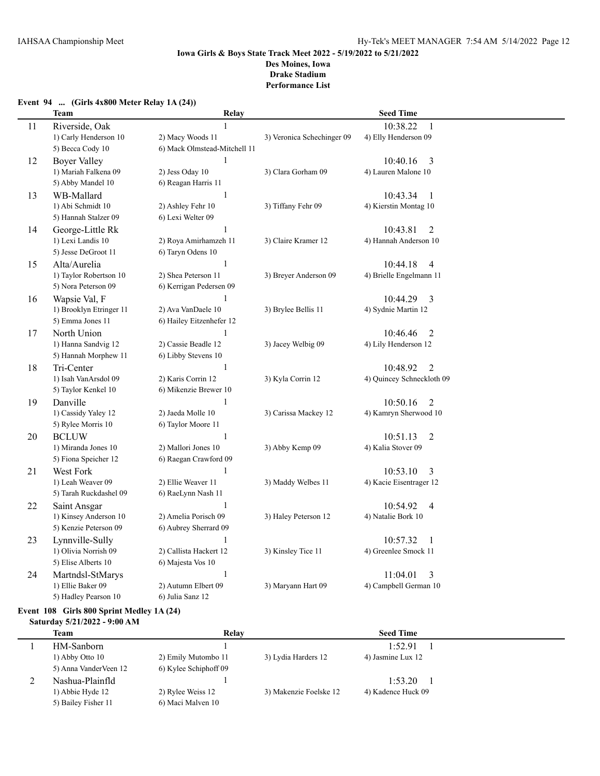### **Event 94 ... (Girls 4x800 Meter Relay 1A (24))**

|    | <b>Team</b>             | Relay                        |                            | <b>Seed Time</b>           |
|----|-------------------------|------------------------------|----------------------------|----------------------------|
| 11 | Riverside, Oak          | $\mathbf{1}$                 |                            | 10:38.22<br>$\mathbf{1}$   |
|    | 1) Carly Henderson 10   | 2) Macy Woods 11             | 3) Veronica Schechinger 09 | 4) Elly Henderson 09       |
|    | 5) Becca Cody 10        | 6) Mack Olmstead-Mitchell 11 |                            |                            |
| 12 | <b>Boyer Valley</b>     | $\mathbf{1}$                 |                            | 10:40.16<br>3              |
|    | 1) Mariah Falkena 09    | 2) Jess Oday 10              | 3) Clara Gorham 09         | 4) Lauren Malone 10        |
|    | 5) Abby Mandel 10       | 6) Reagan Harris 11          |                            |                            |
| 13 | WB-Mallard              | $\mathbf{1}$                 |                            | 10:43.34<br>1              |
|    | 1) Abi Schmidt 10       | 2) Ashley Fehr 10            | 3) Tiffany Fehr 09         | 4) Kierstin Montag 10      |
|    | 5) Hannah Stalzer 09    | 6) Lexi Welter 09            |                            |                            |
| 14 | George-Little Rk        | $\mathbf{1}$                 |                            | 10:43.81<br>2              |
|    | 1) Lexi Landis 10       | 2) Roya Amirhamzeh 11        | 3) Claire Kramer 12        | 4) Hannah Anderson 10      |
|    | 5) Jesse DeGroot 11     | 6) Taryn Odens 10            |                            |                            |
| 15 | Alta/Aurelia            | 1                            |                            | 10:44.18<br>4              |
|    | 1) Taylor Robertson 10  | 2) Shea Peterson 11          | 3) Breyer Anderson 09      | 4) Brielle Engelmann 11    |
|    | 5) Nora Peterson 09     | 6) Kerrigan Pedersen 09      |                            |                            |
| 16 | Wapsie Val, F           | 1                            |                            | 10:44.29<br>3              |
|    | 1) Brooklyn Etringer 11 | 2) Ava VanDaele 10           | 3) Brylee Bellis 11        | 4) Sydnie Martin 12        |
|    | 5) Emma Jones 11        | 6) Hailey Eitzenhefer 12     |                            |                            |
| 17 | North Union             | $\mathbf{1}$                 |                            | 10:46.46<br>2              |
|    | 1) Hanna Sandvig 12     | 2) Cassie Beadle 12          | 3) Jacey Welbig 09         | 4) Lily Henderson 12       |
|    | 5) Hannah Morphew 11    | 6) Libby Stevens 10          |                            |                            |
| 18 | Tri-Center              | $\mathbf{1}$                 |                            | $\overline{2}$<br>10:48.92 |
|    | 1) Isah VanArsdol 09    | 2) Karis Corrin 12           | 3) Kyla Corrin 12          | 4) Quincey Schneckloth 09  |
|    | 5) Taylor Kenkel 10     | 6) Mikenzie Brewer 10        |                            |                            |
| 19 | Danville                | 1                            |                            | 10:50.16<br>$\overline{2}$ |
|    | 1) Cassidy Yaley 12     | 2) Jaeda Molle 10            | 3) Carissa Mackey 12       | 4) Kamryn Sherwood 10      |
|    | 5) Rylee Morris 10      | 6) Taylor Moore 11           |                            |                            |
| 20 | <b>BCLUW</b>            | $\mathbf{1}$                 |                            | 10:51.13<br>$\overline{2}$ |
|    | 1) Miranda Jones 10     | 2) Mallori Jones 10          | 3) Abby Kemp 09            | 4) Kalia Stover 09         |
|    | 5) Fiona Speicher 12    | 6) Raegan Crawford 09        |                            |                            |
| 21 | West Fork               | 1                            |                            | 10:53.10<br>3              |
|    | 1) Leah Weaver 09       | 2) Ellie Weaver 11           | 3) Maddy Welbes 11         | 4) Kacie Eisentrager 12    |
|    | 5) Tarah Ruckdashel 09  | 6) RaeLynn Nash 11           |                            |                            |
| 22 | Saint Ansgar            | $\mathbf{1}$                 |                            | 10:54.92<br>$\overline{4}$ |
|    | 1) Kinsey Anderson 10   | 2) Amelia Porisch 09         | 3) Haley Peterson 12       | 4) Natalie Bork 10         |
|    | 5) Kenzie Peterson 09   | 6) Aubrey Sherrard 09        |                            |                            |
| 23 | Lynnville-Sully         | 1                            |                            | 10:57.32<br>1              |
|    | 1) Olivia Norrish 09    | 2) Callista Hackert 12       | 3) Kinsley Tice 11         | 4) Greenlee Smock 11       |
|    | 5) Elise Alberts 10     | 6) Majesta Vos 10            |                            |                            |
| 24 | Martndsl-StMarys        | $\,1\,$                      |                            | 11:04.01<br>3              |
|    | 1) Ellie Baker 09       | 2) Autumn Elbert 09          | 3) Maryann Hart 09         | 4) Campbell German 10      |
|    | 5) Hadley Pearson 10    | 6) Julia Sanz 12             |                            |                            |

## **Event 108 Girls 800 Sprint Medley 1A (24)**

## **Saturday 5/21/2022 - 9:00 AM**

| Team                  | Relay                 |                        | <b>Seed Time</b>   |  |
|-----------------------|-----------------------|------------------------|--------------------|--|
| HM-Sanborn            |                       |                        | 1:52.91            |  |
| $1)$ Abby Otto $10$   | 2) Emily Mutombo 11   | 3) Lydia Harders 12    | 4) Jasmine Lux 12  |  |
| 5) Anna VanderVeen 12 | 6) Kylee Schiphoff 09 |                        |                    |  |
| Nashua-Plainfld       |                       |                        | 1:53.20            |  |
| 1) Abbie Hyde 12      | 2) Rylee Weiss 12     | 3) Makenzie Foelske 12 | 4) Kadence Huck 09 |  |
| 5) Bailey Fisher 11   | 6) Maci Malven 10     |                        |                    |  |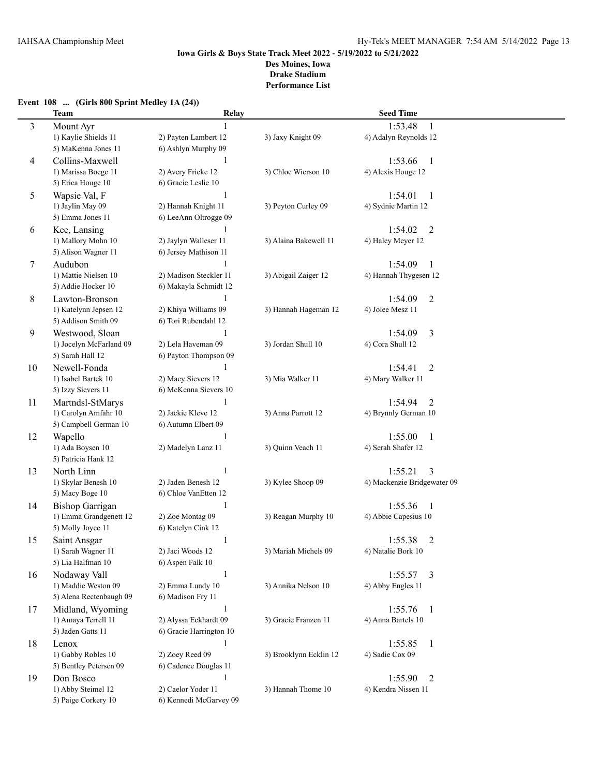### **Event 108 ... (Girls 800 Sprint Medley 1A (24)) Team Relay Seed Time** 3 Mount Ayr 1:53.48 1 1) Kaylie Shields 11 2) Payten Lambert 12 3) Jaxy Knight 09 4) Adalyn Reynolds 12 5) MaKenna Jones 11 6) Ashlyn Murphy 09 4 Collins-Maxwell 1 1:53.66 1<br>1 1:53.66 1 1) Marissa Boege 11 2) Avery Fricke 12 3) Chloe Wierson 10 4) Alexis Houge 12 1) Marissa Boege 11 5) Erica Houge 10 6) Gracie Leslie 10 5 Wapsie Val, F 1:54.01 1 1) Jaylin May 09 2) Hannah Knight 11 3) Peyton Curley 09 4) Sydnie Martin 12 5) Emma Jones 11 6) LeeAnn Oltrogge 09 6 Kee, Lansing 1 1:54.02 2 1) Mallory Mohn 10 2) Jaylyn Walleser 11 3) Alaina Bakewell 11 4) Haley Meyer 12 5) Alison Wagner 11 6) Jersey Mathison 11 7 Audubon 1 1:54.09 1 1) Mattie Nielsen 10 2) Madison Steckler 11 3) Abigail Zaiger 12 4) Hannah Thygesen 12 5) Addie Hocker 10 6) Makayla Schmidt 12 8 Lawton-Bronson 1 1:54.09 2 1) Katelynn Jepsen 12 2) Khiya Williams 09 3) Hannah Hageman 12 4) Jolee Mesz 11 5) Addison Smith 09 6) Tori Rubendahl 12 9 Westwood, Sloan 1 1:54.09 3 1) Jocelyn McFarland 09 2) Lela Haveman 09 3) Jordan Shull 10 4) Cora Shull 12 5) Sarah Hall 12 6) Payton Thompson 09 10 Newell-Fonda 1 1:54.41 2 1) Isabel Bartek 10 2) Macy Sievers 12 3) Mia Walker 11 4) Mary Walker 11 5) Izzy Sievers 11 6) McKenna Sievers 10 11 Martndsl-StMarys 1 1:54.94 2 1) Carolyn Amfahr 10 2) Jackie Kleve 12 3) Anna Parrott 12 4) Brynnly German 10 5) Campbell German 10 6) Autumn Elbert 09 12 Wapello 1 1:55.00 1 1) Ada Boysen 10 2) Madelyn Lanz 11 3) Quinn Veach 11 4) Serah Shafer 12 5) Patricia Hank 12 13 North Linn 1 1:55.21 3 1) Skylar Benesh 10 2) Jaden Benesh 12 3) Kylee Shoop 09 4) Mackenzie Bridgewater 09 5) Macy Boge 10 6) Chloe VanEtten 12 14 Bishop Garrigan 1 1 1:55.36 1 1) Emma Grandgenett 12 2) Zoe Montag 09 3) Reagan Murphy 10 4) Abbie Capesius 10 5) Molly Joyce 11 6) Katelyn Cink 12 15 Saint Ansgar 1 1:55.38 2 1) Sarah Wagner 11 2) Jaci Woods 12 3) Mariah Michels 09 4) Natalie Bork 10 5) Lia Halfman 10 6) Aspen Falk 10 16 Nodaway Vall 1:55.57 3 1) Maddie Weston 09 2) Emma Lundy 10 3) Annika Nelson 10 4) Abby Engles 11 5) Alena Rectenbaugh 09 6) Madison Fry 11 17 Midland, Wyoming 1 1:55.76 1 1) Amaya Terrell 11 2) Alyssa Eckhardt 09 3) Gracie Franzen 11 4) Anna Bartels 10 5) Jaden Gatts 11 6) Gracie Harrington 10 18 Lenox 1 1:55.85 1 1) Gabby Robles 10 2) Zoey Reed 09 3) Brooklynn Ecklin 12 4) Sadie Cox 09 5) Bentley Petersen 09 6) Cadence Douglas 11 19 Don Bosco 1 1 1 1 2:55.90 2 1) Abby Steimel 12 2) Caelor Yoder 11 3) Hannah Thome 10 4) Kendra Nissen 11 5) Paige Corkery 10 6) Kennedi McGarvey 09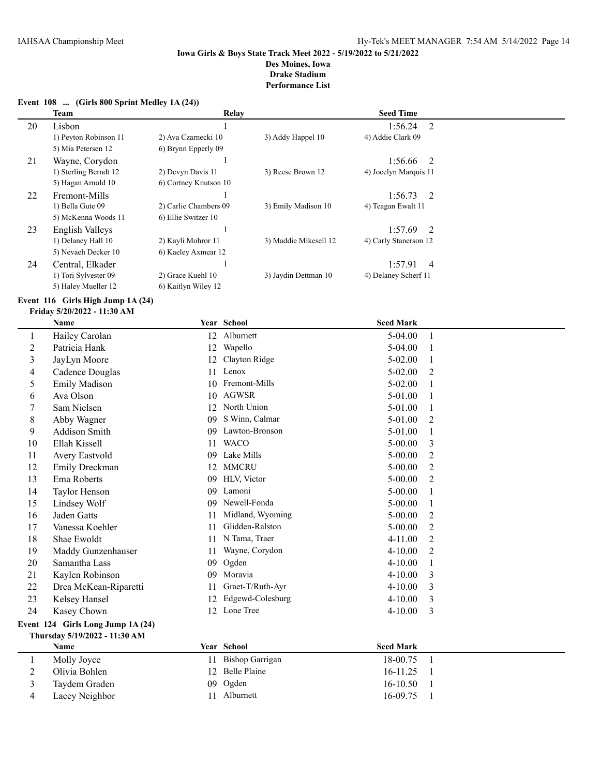#### **Event 108 ... (Girls 800 Sprint Medley 1A (24))**

|    | Team                  | Relay                 |                       | <b>Seed Time</b>          |  |
|----|-----------------------|-----------------------|-----------------------|---------------------------|--|
| 20 | Lisbon                |                       |                       | 1:56.24<br>2              |  |
|    | 1) Peyton Robinson 11 | 2) Ava Czarnecki 10   | 3) Addy Happel 10     | 4) Addie Clark 09         |  |
|    | 5) Mia Petersen 12    | 6) Brynn Epperly 09   |                       |                           |  |
| 21 | Wayne, Corydon        |                       |                       | $1:56.66$ 2               |  |
|    | 1) Sterling Berndt 12 | 2) Devyn Davis 11     | 3) Reese Brown 12     | 4) Jocelyn Marquis 11     |  |
|    | 5) Hagan Arnold 10    | 6) Cortney Knutson 10 |                       |                           |  |
| 22 | Fremont-Mills         |                       |                       | $1:56.73$ 2               |  |
|    | 1) Bella Gute 09      | 2) Carlie Chambers 09 | 3) Emily Madison 10   | 4) Teagan Ewalt 11        |  |
|    | 5) McKenna Woods 11   | 6) Ellie Switzer 10   |                       |                           |  |
| 23 | English Valleys       |                       |                       | $1:57.69$ 2               |  |
|    | 1) Delaney Hall 10    | 2) Kayli Mohror 11    | 3) Maddie Mikesell 12 | 4) Carly Stanerson 12     |  |
|    | 5) Nevaeh Decker 10   | 6) Kaeley Axmear 12   |                       |                           |  |
| 24 | Central, Elkader      |                       |                       | 1:57.91<br>$\overline{4}$ |  |
|    | 1) Tori Sylvester 09  | 2) Grace Kuehl 10     | 3) Jaydin Dettman 10  | 4) Delaney Scherf 11      |  |
|    | 5) Haley Mueller 12   | 6) Kaitlyn Wiley 12   |                       |                           |  |

#### **Event 116 Girls High Jump 1A (24)**

#### **Friday 5/20/2022 - 11:30 AM**

|                                   | <b>Name</b>           |    | Year School            | <b>Seed Mark</b> |                |
|-----------------------------------|-----------------------|----|------------------------|------------------|----------------|
| 1                                 | Hailey Carolan        | 12 | Alburnett              | 5-04.00          | 1              |
| $\overline{2}$                    | Patricia Hank         | 12 | Wapello                | $5-04.00$        | 1              |
| $\mathfrak{Z}$                    | JayLyn Moore          | 12 | Clayton Ridge          | 5-02.00          | 1              |
| 4                                 | Cadence Douglas       | 11 | Lenox                  | $5 - 02.00$      | $\overline{2}$ |
| 5                                 | Emily Madison         | 10 | Fremont-Mills          | $5 - 02.00$      | 1              |
| 6                                 | Ava Olson             | 10 | <b>AGWSR</b>           | 5-01.00          | 1              |
| 7                                 | Sam Nielsen           | 12 | North Union            | 5-01.00          | 1              |
| 8                                 | Abby Wagner           | 09 | S Winn, Calmar         | 5-01.00          | 2              |
| 9                                 | Addison Smith         | 09 | Lawton-Bronson         | 5-01.00          | 1              |
| 10                                | Ellah Kissell         | 11 | <b>WACO</b>            | 5-00.00          | 3              |
| 11                                | Avery Eastvold        | 09 | Lake Mills             | $5 - 00.00$      | 2              |
| 12                                | Emily Dreckman        | 12 | <b>MMCRU</b>           | $5 - 00.00$      | $\overline{2}$ |
| 13                                | Ema Roberts           | 09 | HLV, Victor            | $5 - 00.00$      | 2              |
| 14                                | Taylor Henson         | 09 | Lamoni                 | $5 - 00.00$      | 1              |
| 15                                | Lindsey Wolf          | 09 | Newell-Fonda           | $5 - 00.00$      | $\mathbf{1}$   |
| 16                                | Jaden Gatts           | 11 | Midland, Wyoming       | $5 - 00.00$      | $\overline{2}$ |
| 17                                | Vanessa Koehler       | 11 | Glidden-Ralston        | $5 - 00.00$      | 2              |
| 18                                | Shae Ewoldt           | 11 | N Tama, Traer          | 4-11.00          | $\overline{2}$ |
| 19                                | Maddy Gunzenhauser    | 11 | Wayne, Corydon         | $4 - 10.00$      | 2              |
| 20                                | Samantha Lass         | 09 | Ogden                  | 4-10.00          | 1              |
| 21                                | Kaylen Robinson       | 09 | Moravia                | $4 - 10.00$      | 3              |
| 22                                | Drea McKean-Riparetti | 11 | Graet-T/Ruth-Ayr       | 4-10.00          | 3              |
| 23                                | Kelsey Hansel         | 12 | Edgewd-Colesburg       | $4 - 10.00$      | 3              |
| 24                                | Kasey Chown           |    | 12 Lone Tree           | $4 - 10.00$      | 3              |
| Event 124 Girls Long Jump 1A (24) |                       |    |                        |                  |                |
| Thursday 5/19/2022 - 11:30 AM     |                       |    |                        |                  |                |
|                                   | Name                  |    | Year School            | <b>Seed Mark</b> |                |
| 1                                 | Molly Joyce           | 11 | <b>Bishop Garrigan</b> | 18-00.75         | 1              |
| 2                                 | Olivia Bohlen         | 12 | <b>Belle Plaine</b>    | 16-11.25         | 1              |
| 3                                 | Taydem Graden         | 09 | Ogden                  | 16-10.50         | 1              |
| 4                                 | Lacey Neighbor        | 11 | Alburnett              | 16-09.75         | $\mathbf{1}$   |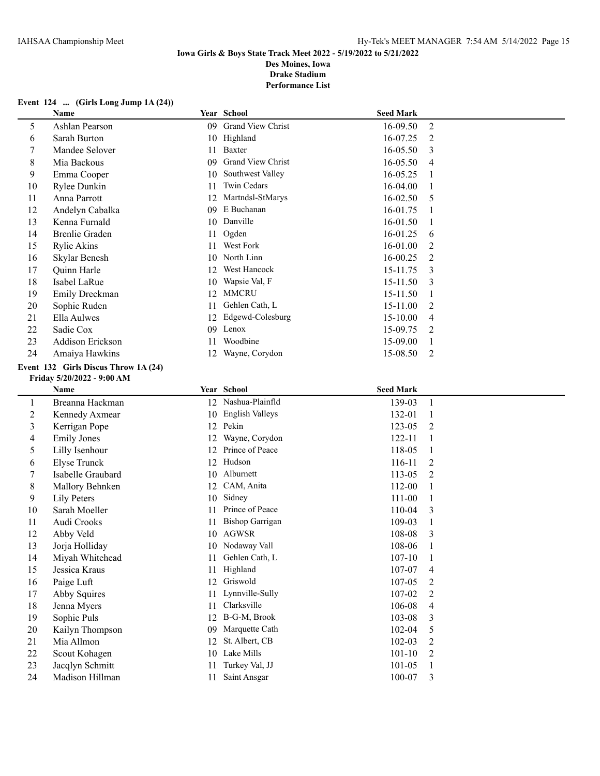## **Event 124 ... (Girls Long Jump 1A (24))**

|                          | Name                                 |     | Year School              | <b>Seed Mark</b> |                |
|--------------------------|--------------------------------------|-----|--------------------------|------------------|----------------|
| 5                        | Ashlan Pearson                       |     | 09 Grand View Christ     | 16-09.50         | $\overline{2}$ |
| 6                        | Sarah Burton                         |     | 10 Highland              | 16-07.25         | 2              |
| $\overline{7}$           | Mandee Selover                       |     | 11 Baxter                | 16-05.50         | 3              |
| $\,8\,$                  | Mia Backous                          | 09. | <b>Grand View Christ</b> | 16-05.50         | 4              |
| 9                        | Emma Cooper                          | 10  | Southwest Valley         | 16-05.25         | 1              |
| 10                       | Rylee Dunkin                         | 11  | Twin Cedars              | 16-04.00         | 1              |
| 11                       | Anna Parrott                         |     | 12 Martndsl-StMarys      | 16-02.50         | 5              |
| 12                       | Andelyn Cabalka                      | 09  | E Buchanan               | 16-01.75         | 1              |
| 13                       | Kenna Furnald                        |     | 10 Danville              | 16-01.50         | 1              |
| 14                       | <b>Brenlie Graden</b>                | 11  | Ogden                    | 16-01.25         | 6              |
| 15                       | Rylie Akins                          | 11  | West Fork                | 16-01.00         | 2              |
| 16                       | Skylar Benesh                        | 10  | North Linn               | 16-00.25         | 2              |
| 17                       | Quinn Harle                          | 12  | West Hancock             | 15-11.75         | 3              |
| 18                       | Isabel LaRue                         | 10  | Wapsie Val, F            | 15-11.50         | 3              |
| 19                       | Emily Dreckman                       | 12  | <b>MMCRU</b>             | 15-11.50         | 1              |
| 20                       | Sophie Ruden                         | 11  | Gehlen Cath, L           | 15-11.00         | 2              |
| 21                       | Ella Aulwes                          | 12  | Edgewd-Colesburg         | 15-10.00         | 4              |
| 22                       | Sadie Cox                            |     | 09 Lenox                 | 15-09.75         | 2              |
| 23                       | Addison Erickson                     | 11  | Woodbine                 | 15-09.00         | 1              |
| 24                       | Amaiya Hawkins                       |     | 12 Wayne, Corydon        | 15-08.50         | $\overline{2}$ |
|                          | Event 132 Girls Discus Throw 1A (24) |     |                          |                  |                |
|                          | Friday 5/20/2022 - 9:00 AM           |     |                          |                  |                |
|                          | Name                                 |     | Year School              | <b>Seed Mark</b> |                |
| $\mathbf{1}$             | Breanna Hackman                      |     | 12 Nashua-Plainfld       | 139-03           | $\mathbf{1}$   |
| $\overline{2}$           | Kennedy Axmear                       |     | 10 English Valleys       | 132-01           | $\mathbf{1}$   |
| 3                        | Kerrigan Pope                        |     | 12 Pekin                 | 123-05           | 2              |
| $\overline{\mathcal{A}}$ | <b>Emily Jones</b>                   | 12  | Wayne, Corydon           | 122-11           | $\mathbf{1}$   |
| 5                        | Lilly Isenhour                       |     | 12 Prince of Peace       | 118-05           | 1              |
| 6                        | <b>Elyse Trunck</b>                  |     | 12 Hudson                | 116-11           | 2              |
| $\tau$                   | Isabelle Graubard                    |     | 10 Alburnett             | 113-05           | 2              |
| $\,8\,$                  | Mallory Behnken                      |     | 12 CAM, Anita            | 112-00           | 1              |
| 9                        | Lily Peters                          | 10  | Sidney                   | 111-00           | 1              |
| 10                       | Sarah Moeller                        | 11  | Prince of Peace          | 110-04           | 3              |
| 11                       | Audi Crooks                          | 11  | <b>Bishop Garrigan</b>   | 109-03           | 1              |
| 12                       | Abby Veld                            |     | 10 AGWSR                 | 108-08           | 3              |
| 13                       | Jorja Holliday                       |     | 10 Nodaway Vall          | 108-06           |                |
| 14                       | Miyah Whitehead                      | 11  | Gehlen Cath, L           | $107 - 10$       | 1              |
| 15                       | Jessica Kraus                        | 11  | Highland                 | 107-07           | 4              |
| 16                       | Paige Luft                           | 12  | Griswold                 | 107-05           | 2              |
| 17                       | Abby Squires                         | 11  | Lynnville-Sully          | 107-02           | 2              |
| 18                       | Jenna Myers                          | 11  | Clarksville              | 106-08           | 4              |
| 19                       | Sophie Puls                          |     | 12 B-G-M, Brook          | 103-08           | 3              |
| 20                       | Kailyn Thompson                      | 09  | Marquette Cath           | 102-04           | 5              |
| 21                       | Mia Allmon                           | 12  | St. Albert, CB           | 102-03           | 2              |
| 22                       | Scout Kohagen                        |     | 10 Lake Mills            | $101 - 10$       | 2              |
| 23                       | Jacqlyn Schmitt                      | 11  | Turkey Val, JJ           | 101-05           | $\mathbf{1}$   |
| 24                       | Madison Hillman                      | 11  | Saint Ansgar             | 100-07           | 3              |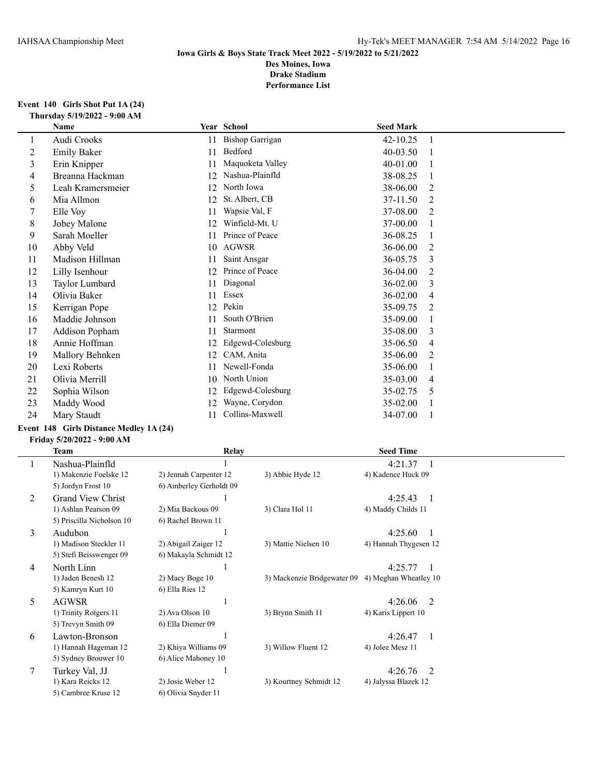#### **Event 140 Girls Shot Put 1A (24) Thursday 5/19/2022 - 9:00 AM**

|    | Name               |    | Year School            | <b>Seed Mark</b> |   |
|----|--------------------|----|------------------------|------------------|---|
| 1  | Audi Crooks        | 11 | <b>Bishop Garrigan</b> | 42-10.25         |   |
| 2  | <b>Emily Baker</b> | 11 | Bedford                | 40-03.50         |   |
| 3  | Erin Knipper       | 11 | Maquoketa Valley       | 40-01.00         |   |
| 4  | Breanna Hackman    | 12 | Nashua-Plainfld        | 38-08.25         |   |
| 5  | Leah Kramersmeier  | 12 | North Iowa             | 38-06.00         | 2 |
| 6  | Mia Allmon         | 12 | St. Albert, CB         | 37-11.50         | 2 |
|    | Elle Voy           | 11 | Wapsie Val, F          | 37-08.00         | 2 |
| 8  | Jobey Malone       | 12 | Winfield-Mt. U         | 37-00.00         |   |
| 9  | Sarah Moeller      | 11 | Prince of Peace        | 36-08.25         |   |
| 10 | Abby Veld          | 10 | <b>AGWSR</b>           | 36-06.00         | 2 |
| 11 | Madison Hillman    | 11 | Saint Ansgar           | 36-05.75         | 3 |
| 12 | Lilly Isenhour     | 12 | Prince of Peace        | 36-04.00         | 2 |
| 13 | Taylor Lumbard     | 11 | Diagonal               | 36-02.00         | 3 |
| 14 | Olivia Baker       | 11 | Essex                  | 36-02.00         | 4 |
| 15 | Kerrigan Pope      | 12 | Pekin                  | 35-09.75         | 2 |
| 16 | Maddie Johnson     | 11 | South O'Brien          | 35-09.00         |   |
| 17 | Addison Popham     | 11 | Starmont               | 35-08.00         | 3 |
| 18 | Annie Hoffman      | 12 | Edgewd-Colesburg       | 35-06.50         | 4 |
| 19 | Mallory Behnken    | 12 | CAM, Anita             | 35-06.00         | 2 |
| 20 | Lexi Roberts       | 11 | Newell-Fonda           | 35-06.00         |   |
| 21 | Olivia Merrill     | 10 | North Union            | 35-03.00         | 4 |
| 22 | Sophia Wilson      | 12 | Edgewd-Colesburg       | 35-02.75         | 5 |
| 23 | Maddy Wood         | 12 | Wayne, Corydon         | 35-02.00         |   |
| 24 | Mary Staudt        | 11 | Collins-Maxwell        | 34-07.00         |   |

# **Event 148 Girls Distance Medley 1A (24)**

#### **Friday 5/20/2022 - 9:00 AM**

|   | Team                      | Relay                   |                                                   | <b>Seed Time</b>      |                |
|---|---------------------------|-------------------------|---------------------------------------------------|-----------------------|----------------|
|   | Nashua-Plainfld           |                         |                                                   | 4:21.37               |                |
|   | 1) Makenzie Foelske 12    | 2) Jennah Carpenter 12  | 3) Abbie Hyde 12                                  | 4) Kadence Huck 09    |                |
|   | 5) Jordyn Frost 10        | 6) Amberley Gerholdt 09 |                                                   |                       |                |
| 2 | <b>Grand View Christ</b>  |                         |                                                   | 4:25.43               | - 1            |
|   | 1) Ashlan Pearson 09      | 2) Mia Backous 09       | 3) Clara Hol 11                                   | 4) Maddy Childs 11    |                |
|   | 5) Priscilla Nicholson 10 | 6) Rachel Brown 11      |                                                   |                       |                |
| 3 | Audubon                   |                         |                                                   | 4:25.60               |                |
|   | 1) Madison Steckler 11    | 2) Abigail Zaiger 12    | 3) Mattie Nielsen 10                              | 4) Hannah Thygesen 12 |                |
|   | 5) Stefi Beisswenger 09   | 6) Makayla Schmidt 12   |                                                   |                       |                |
| 4 | North Linn                |                         |                                                   | 4:25.77               | -1             |
|   | 1) Jaden Benesh 12        | 2) Macy Boge 10         | 3) Mackenzie Bridgewater 09 4) Meghan Wheatley 10 |                       |                |
|   | 5) Kamryn Kurt 10         | 6) Ella Ries 12         |                                                   |                       |                |
| 5 | <b>AGWSR</b>              |                         |                                                   | 4:26.06               | $\mathfrak{D}$ |
|   | 1) Trinity Rotgers 11     | 2) Ava Olson 10         | 3) Brynn Smith 11                                 | 4) Karis Lippert 10   |                |
|   | 5) Trevyn Smith 09        | 6) Ella Diemer 09       |                                                   |                       |                |
| 6 | Lawton-Bronson            |                         |                                                   | 4:26.47               | $\overline{1}$ |
|   | 1) Hannah Hageman 12      | 2) Khiya Williams 09    | 3) Willow Fluent 12                               | 4) Jolee Mesz 11      |                |
|   | 5) Sydney Brouwer 10      | 6) Alice Mahoney 10     |                                                   |                       |                |
| 7 | Turkey Val, JJ            |                         |                                                   | 4:26.76               | $\overline{2}$ |
|   | 1) Kara Reicks 12         | 2) Josie Weber 12       | 3) Kourtney Schmidt 12                            | 4) Jalyssa Blazek 12  |                |
|   | 5) Cambree Kruse 12       | 6) Olivia Snyder 11     |                                                   |                       |                |